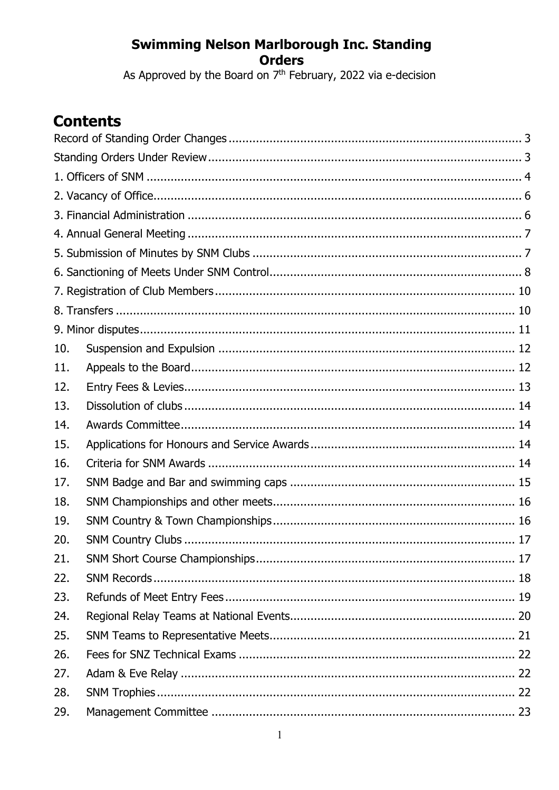As Approved by the Board on  $7<sup>th</sup>$  February, 2022 via e-decision

# **Contents**

| 10. |  |
|-----|--|
| 11. |  |
| 12. |  |
| 13. |  |
| 14. |  |
| 15. |  |
| 16. |  |
| 17. |  |
| 18. |  |
| 19. |  |
| 20. |  |
| 21. |  |
| 22. |  |
| 23. |  |
| 24. |  |
| 25. |  |
| 26. |  |
| 27. |  |
| 28. |  |
| 29. |  |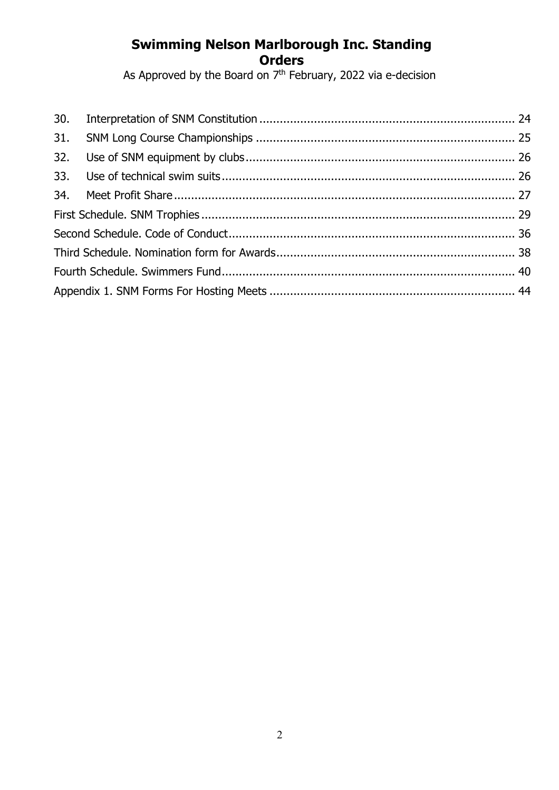As Approved by the Board on 7<sup>th</sup> February, 2022 via e-decision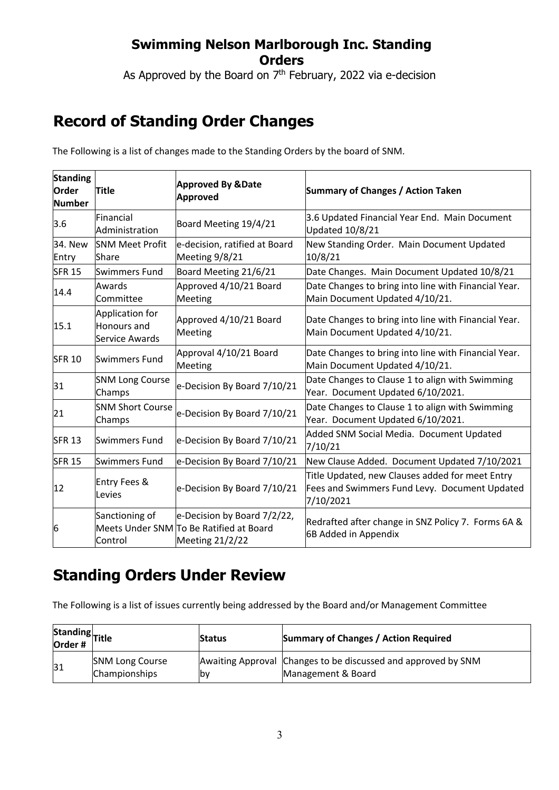As Approved by the Board on  $7<sup>th</sup>$  February, 2022 via e-decision

# **Record of Standing Order Changes**

The Following is a list of changes made to the Standing Orders by the board of SNM.

| <b>Standing</b><br><b>Order</b><br><b>Number</b> | <b>Title</b>                                     | <b>Approved By &amp;Date</b><br>Approved                                                  | <b>Summary of Changes / Action Taken</b>                                                                      |
|--------------------------------------------------|--------------------------------------------------|-------------------------------------------------------------------------------------------|---------------------------------------------------------------------------------------------------------------|
| 3.6                                              | Financial<br>Administration                      | Board Meeting 19/4/21                                                                     | 3.6 Updated Financial Year End. Main Document<br><b>Updated 10/8/21</b>                                       |
| 34. New<br>Entry                                 | <b>SNM Meet Profit</b><br><b>Share</b>           | e-decision, ratified at Board<br>Meeting 9/8/21                                           | New Standing Order. Main Document Updated<br>10/8/21                                                          |
| <b>SFR 15</b>                                    | Swimmers Fund                                    | Board Meeting 21/6/21                                                                     | Date Changes. Main Document Updated 10/8/21                                                                   |
| 14.4                                             | Awards<br>Committee                              | Approved 4/10/21 Board<br>Meeting                                                         | Date Changes to bring into line with Financial Year.<br>Main Document Updated 4/10/21.                        |
| 15.1                                             | Application for<br>Honours and<br>Service Awards | Approved 4/10/21 Board<br>Meeting                                                         | Date Changes to bring into line with Financial Year.<br>Main Document Updated 4/10/21.                        |
| <b>SFR 10</b>                                    | Swimmers Fund                                    | Approval 4/10/21 Board<br>Meeting                                                         | Date Changes to bring into line with Financial Year.<br>Main Document Updated 4/10/21.                        |
| 31                                               | <b>SNM Long Course</b><br>Champs                 | e-Decision By Board 7/10/21                                                               | Date Changes to Clause 1 to align with Swimming<br>Year. Document Updated 6/10/2021.                          |
| 21                                               | <b>SNM Short Course</b><br>Champs                | e-Decision By Board 7/10/21                                                               | Date Changes to Clause 1 to align with Swimming<br>Year. Document Updated 6/10/2021.                          |
| <b>SFR 13</b>                                    | Swimmers Fund                                    | e-Decision By Board 7/10/21                                                               | Added SNM Social Media. Document Updated<br>7/10/21                                                           |
| <b>SFR 15</b>                                    | Swimmers Fund                                    | e-Decision By Board 7/10/21                                                               | New Clause Added. Document Updated 7/10/2021                                                                  |
| 12                                               | <b>Entry Fees &amp;</b><br>Levies                | e-Decision By Board 7/10/21                                                               | Title Updated, new Clauses added for meet Entry<br>Fees and Swimmers Fund Levy. Document Updated<br>7/10/2021 |
| 6                                                | Sanctioning of<br>Control                        | e-Decision by Board 7/2/22,<br>Meets Under SNM To Be Ratified at Board<br>Meeting 21/2/22 | Redrafted after change in SNZ Policy 7. Forms 6A &<br>6B Added in Appendix                                    |

## **Standing Orders Under Review**

The Following is a list of issues currently being addressed by the Board and/or Management Committee

| Standing<br>Order # |                                         | <b>Status</b> | <b>Summary of Changes / Action Required</b>                                         |
|---------------------|-----------------------------------------|---------------|-------------------------------------------------------------------------------------|
| 31                  | <b>SNM Long Course</b><br>Championships | lby           | Awaiting Approval Changes to be discussed and approved by SNM<br>Management & Board |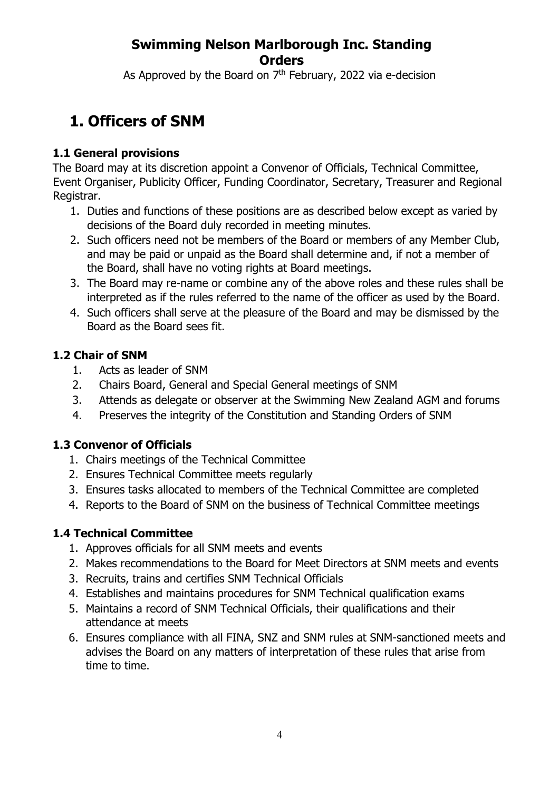As Approved by the Board on  $7<sup>th</sup>$  February, 2022 via e-decision

# **1. Officers of SNM**

#### **1.1 General provisions**

The Board may at its discretion appoint a Convenor of Officials, Technical Committee, Event Organiser, Publicity Officer, Funding Coordinator, Secretary, Treasurer and Regional Registrar.

- 1. Duties and functions of these positions are as described below except as varied by decisions of the Board duly recorded in meeting minutes.
- 2. Such officers need not be members of the Board or members of any Member Club, and may be paid or unpaid as the Board shall determine and, if not a member of the Board, shall have no voting rights at Board meetings.
- 3. The Board may re-name or combine any of the above roles and these rules shall be interpreted as if the rules referred to the name of the officer as used by the Board.
- 4. Such officers shall serve at the pleasure of the Board and may be dismissed by the Board as the Board sees fit.

#### **1.2 Chair of SNM**

- 1. Acts as leader of SNM
- 2. Chairs Board, General and Special General meetings of SNM
- 3. Attends as delegate or observer at the Swimming New Zealand AGM and forums
- 4. Preserves the integrity of the Constitution and Standing Orders of SNM

#### **1.3 Convenor of Officials**

- 1. Chairs meetings of the Technical Committee
- 2. Ensures Technical Committee meets regularly
- 3. Ensures tasks allocated to members of the Technical Committee are completed
- 4. Reports to the Board of SNM on the business of Technical Committee meetings

### **1.4 Technical Committee**

- 1. Approves officials for all SNM meets and events
- 2. Makes recommendations to the Board for Meet Directors at SNM meets and events
- 3. Recruits, trains and certifies SNM Technical Officials
- 4. Establishes and maintains procedures for SNM Technical qualification exams
- 5. Maintains a record of SNM Technical Officials, their qualifications and their attendance at meets
- 6. Ensures compliance with all FINA, SNZ and SNM rules at SNM-sanctioned meets and advises the Board on any matters of interpretation of these rules that arise from time to time.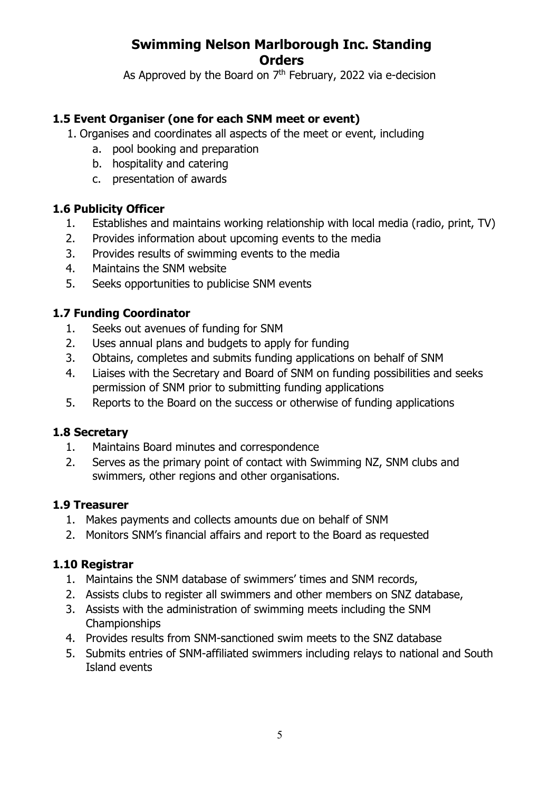As Approved by the Board on  $7<sup>th</sup>$  February, 2022 via e-decision

#### **1.5 Event Organiser (one for each SNM meet or event)**

- 1. Organises and coordinates all aspects of the meet or event, including
	- a. pool booking and preparation
	- b. hospitality and catering
	- c. presentation of awards

#### **1.6 Publicity Officer**

- 1. Establishes and maintains working relationship with local media (radio, print, TV)
- 2. Provides information about upcoming events to the media
- 3. Provides results of swimming events to the media
- 4. Maintains the SNM website
- 5. Seeks opportunities to publicise SNM events

#### **1.7 Funding Coordinator**

- 1. Seeks out avenues of funding for SNM
- 2. Uses annual plans and budgets to apply for funding
- 3. Obtains, completes and submits funding applications on behalf of SNM
- 4. Liaises with the Secretary and Board of SNM on funding possibilities and seeks permission of SNM prior to submitting funding applications
- 5. Reports to the Board on the success or otherwise of funding applications

#### **1.8 Secretary**

- 1. Maintains Board minutes and correspondence
- 2. Serves as the primary point of contact with Swimming NZ, SNM clubs and swimmers, other regions and other organisations.

#### **1.9 Treasurer**

- 1. Makes payments and collects amounts due on behalf of SNM
- 2. Monitors SNM's financial affairs and report to the Board as requested

#### **1.10 Registrar**

- 1. Maintains the SNM database of swimmers' times and SNM records,
- 2. Assists clubs to register all swimmers and other members on SNZ database,
- 3. Assists with the administration of swimming meets including the SNM Championships
- 4. Provides results from SNM-sanctioned swim meets to the SNZ database
- 5. Submits entries of SNM-affiliated swimmers including relays to national and South Island events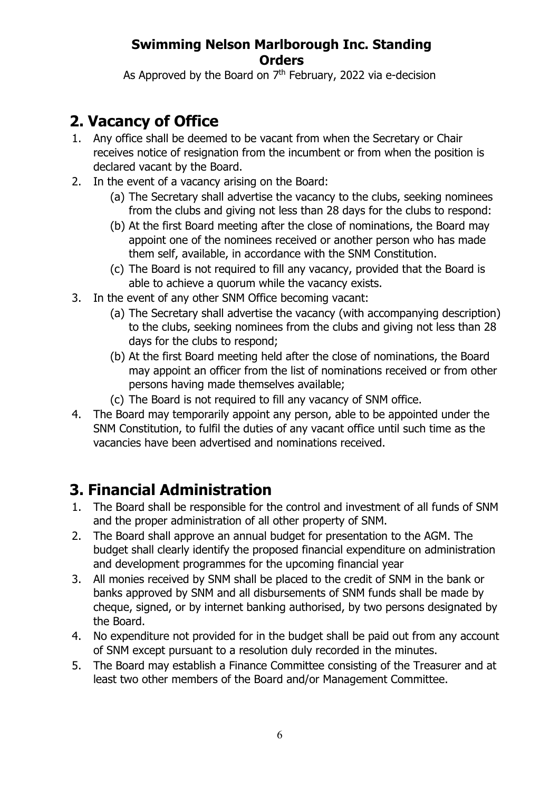As Approved by the Board on  $7<sup>th</sup>$  February, 2022 via e-decision

# **2. Vacancy of Office**

- 1. Any office shall be deemed to be vacant from when the Secretary or Chair receives notice of resignation from the incumbent or from when the position is declared vacant by the Board.
- 2. In the event of a vacancy arising on the Board:
	- (a) The Secretary shall advertise the vacancy to the clubs, seeking nominees from the clubs and giving not less than 28 days for the clubs to respond:
	- (b) At the first Board meeting after the close of nominations, the Board may appoint one of the nominees received or another person who has made them self, available, in accordance with the SNM Constitution.
	- (c) The Board is not required to fill any vacancy, provided that the Board is able to achieve a quorum while the vacancy exists.
- 3. In the event of any other SNM Office becoming vacant:
	- (a) The Secretary shall advertise the vacancy (with accompanying description) to the clubs, seeking nominees from the clubs and giving not less than 28 days for the clubs to respond;
	- (b) At the first Board meeting held after the close of nominations, the Board may appoint an officer from the list of nominations received or from other persons having made themselves available;
	- (c) The Board is not required to fill any vacancy of SNM office.
- 4. The Board may temporarily appoint any person, able to be appointed under the SNM Constitution, to fulfil the duties of any vacant office until such time as the vacancies have been advertised and nominations received.

# **3. Financial Administration**

- 1. The Board shall be responsible for the control and investment of all funds of SNM and the proper administration of all other property of SNM.
- 2. The Board shall approve an annual budget for presentation to the AGM. The budget shall clearly identify the proposed financial expenditure on administration and development programmes for the upcoming financial year
- 3. All monies received by SNM shall be placed to the credit of SNM in the bank or banks approved by SNM and all disbursements of SNM funds shall be made by cheque, signed, or by internet banking authorised, by two persons designated by the Board.
- 4. No expenditure not provided for in the budget shall be paid out from any account of SNM except pursuant to a resolution duly recorded in the minutes.
- 5. The Board may establish a Finance Committee consisting of the Treasurer and at least two other members of the Board and/or Management Committee.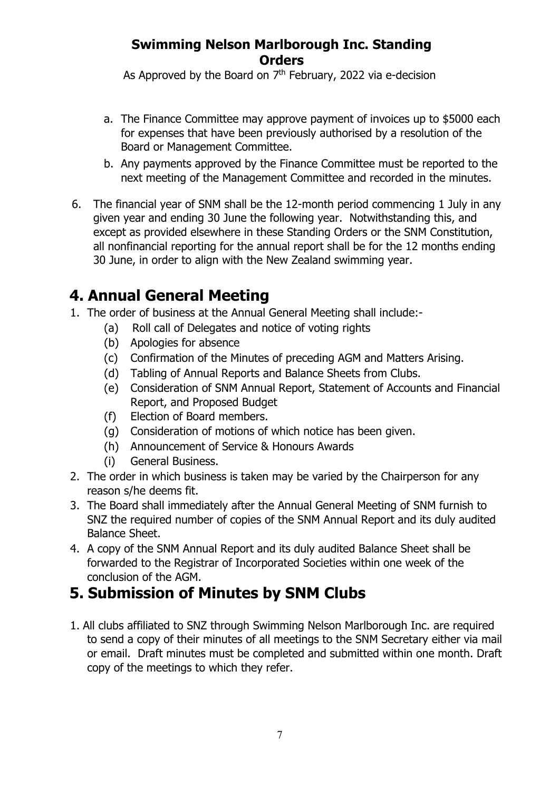As Approved by the Board on  $7<sup>th</sup>$  February, 2022 via e-decision

- a. The Finance Committee may approve payment of invoices up to \$5000 each for expenses that have been previously authorised by a resolution of the Board or Management Committee.
- b. Any payments approved by the Finance Committee must be reported to the next meeting of the Management Committee and recorded in the minutes.
- 6. The financial year of SNM shall be the 12-month period commencing 1 July in any given year and ending 30 June the following year. Notwithstanding this, and except as provided elsewhere in these Standing Orders or the SNM Constitution, all nonfinancial reporting for the annual report shall be for the 12 months ending 30 June, in order to align with the New Zealand swimming year.

# **4. Annual General Meeting**

- 1. The order of business at the Annual General Meeting shall include:-
	- (a) Roll call of Delegates and notice of voting rights
	- (b) Apologies for absence
	- (c) Confirmation of the Minutes of preceding AGM and Matters Arising.
	- (d) Tabling of Annual Reports and Balance Sheets from Clubs.
	- (e) Consideration of SNM Annual Report, Statement of Accounts and Financial Report, and Proposed Budget
	- (f) Election of Board members.
	- (g) Consideration of motions of which notice has been given.
	- (h) Announcement of Service & Honours Awards
	- (i) General Business.
- 2. The order in which business is taken may be varied by the Chairperson for any reason s/he deems fit.
- 3. The Board shall immediately after the Annual General Meeting of SNM furnish to SNZ the required number of copies of the SNM Annual Report and its duly audited Balance Sheet.
- 4. A copy of the SNM Annual Report and its duly audited Balance Sheet shall be forwarded to the Registrar of Incorporated Societies within one week of the conclusion of the AGM.

# **5. Submission of Minutes by SNM Clubs**

1. All clubs affiliated to SNZ through Swimming Nelson Marlborough Inc. are required to send a copy of their minutes of all meetings to the SNM Secretary either via mail or email. Draft minutes must be completed and submitted within one month. Draft copy of the meetings to which they refer.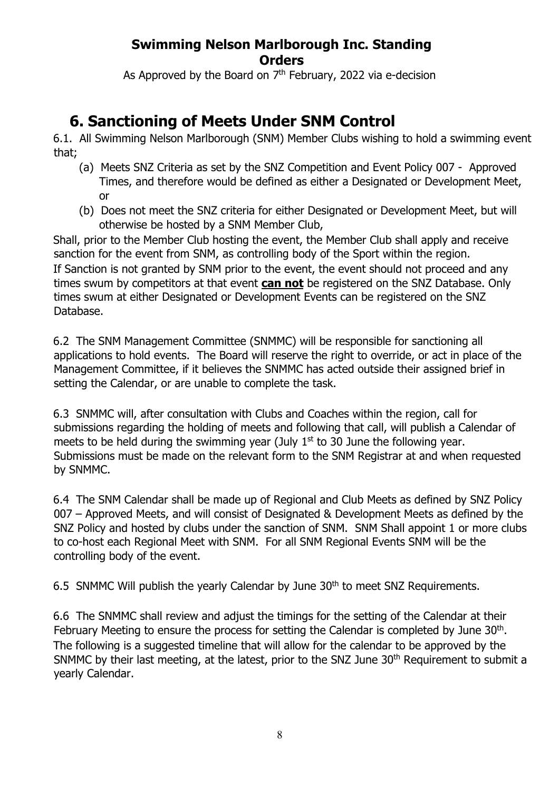As Approved by the Board on  $7<sup>th</sup>$  February, 2022 via e-decision

# **6. Sanctioning of Meets Under SNM Control**

6.1. All Swimming Nelson Marlborough (SNM) Member Clubs wishing to hold a swimming event that;

- (a) Meets SNZ Criteria as set by the SNZ Competition and Event Policy 007 Approved Times, and therefore would be defined as either a Designated or Development Meet, or
- (b) Does not meet the SNZ criteria for either Designated or Development Meet, but will otherwise be hosted by a SNM Member Club,

Shall, prior to the Member Club hosting the event, the Member Club shall apply and receive sanction for the event from SNM, as controlling body of the Sport within the region. If Sanction is not granted by SNM prior to the event, the event should not proceed and any times swum by competitors at that event **can not** be registered on the SNZ Database. Only times swum at either Designated or Development Events can be registered on the SNZ Database.

6.2 The SNM Management Committee (SNMMC) will be responsible for sanctioning all applications to hold events. The Board will reserve the right to override, or act in place of the Management Committee, if it believes the SNMMC has acted outside their assigned brief in setting the Calendar, or are unable to complete the task.

6.3 SNMMC will, after consultation with Clubs and Coaches within the region, call for submissions regarding the holding of meets and following that call, will publish a Calendar of meets to be held during the swimming year (July  $1<sup>st</sup>$  to 30 June the following year. Submissions must be made on the relevant form to the SNM Registrar at and when requested by SNMMC.

6.4 The SNM Calendar shall be made up of Regional and Club Meets as defined by SNZ Policy 007 – Approved Meets, and will consist of Designated & Development Meets as defined by the SNZ Policy and hosted by clubs under the sanction of SNM. SNM Shall appoint 1 or more clubs to co-host each Regional Meet with SNM. For all SNM Regional Events SNM will be the controlling body of the event.

6.5 SNMMC Will publish the yearly Calendar by June 30<sup>th</sup> to meet SNZ Requirements.

6.6 The SNMMC shall review and adjust the timings for the setting of the Calendar at their February Meeting to ensure the process for setting the Calendar is completed by June  $30<sup>th</sup>$ . The following is a suggested timeline that will allow for the calendar to be approved by the SNMMC by their last meeting, at the latest, prior to the SNZ June 30<sup>th</sup> Requirement to submit a yearly Calendar.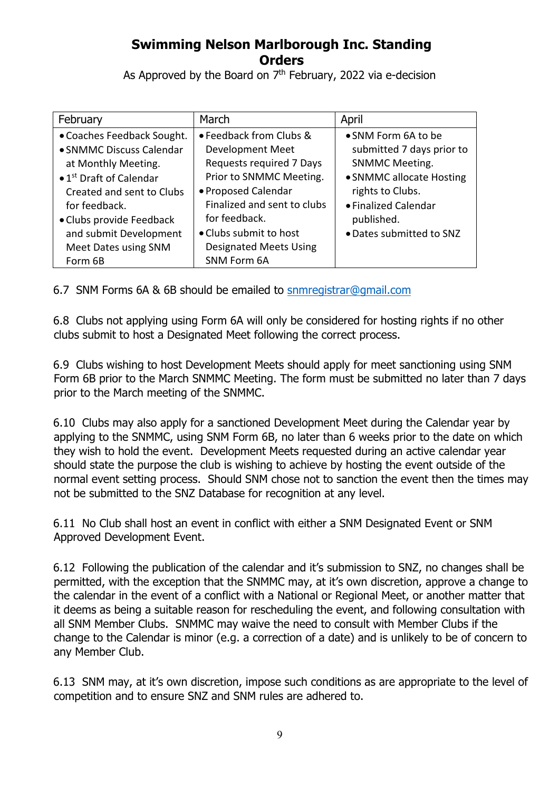As Approved by the Board on  $7<sup>th</sup>$  February, 2022 via e-decision

| February                                    | March                         | April                     |
|---------------------------------------------|-------------------------------|---------------------------|
| • Coaches Feedback Sought.                  | • Feedback from Clubs &       | • SNM Form 6A to be       |
| • SNMMC Discuss Calendar                    | Development Meet              | submitted 7 days prior to |
| at Monthly Meeting.                         | Requests required 7 Days      | <b>SNMMC Meeting.</b>     |
| $\bullet$ 1 <sup>st</sup> Draft of Calendar | Prior to SNMMC Meeting.       | • SNMMC allocate Hosting  |
| Created and sent to Clubs                   | • Proposed Calendar           | rights to Clubs.          |
| for feedback.                               | Finalized and sent to clubs   | • Finalized Calendar      |
| • Clubs provide Feedback                    | for feedback.                 | published.                |
| and submit Development                      | • Clubs submit to host        | • Dates submitted to SNZ  |
| Meet Dates using SNM                        | <b>Designated Meets Using</b> |                           |
| Form 6B                                     | SNM Form 6A                   |                           |

6.7 SNM Forms 6A & 6B should be emailed to snmregistrar@gmail.com

6.8 Clubs not applying using Form 6A will only be considered for hosting rights if no other clubs submit to host a Designated Meet following the correct process.

6.9 Clubs wishing to host Development Meets should apply for meet sanctioning using SNM Form 6B prior to the March SNMMC Meeting. The form must be submitted no later than 7 days prior to the March meeting of the SNMMC.

6.10 Clubs may also apply for a sanctioned Development Meet during the Calendar year by applying to the SNMMC, using SNM Form 6B, no later than 6 weeks prior to the date on which they wish to hold the event. Development Meets requested during an active calendar year should state the purpose the club is wishing to achieve by hosting the event outside of the normal event setting process. Should SNM chose not to sanction the event then the times may not be submitted to the SNZ Database for recognition at any level.

6.11 No Club shall host an event in conflict with either a SNM Designated Event or SNM Approved Development Event.

6.12 Following the publication of the calendar and it's submission to SNZ, no changes shall be permitted, with the exception that the SNMMC may, at it's own discretion, approve a change to the calendar in the event of a conflict with a National or Regional Meet, or another matter that it deems as being a suitable reason for rescheduling the event, and following consultation with all SNM Member Clubs. SNMMC may waive the need to consult with Member Clubs if the change to the Calendar is minor (e.g. a correction of a date) and is unlikely to be of concern to any Member Club.

6.13 SNM may, at it's own discretion, impose such conditions as are appropriate to the level of competition and to ensure SNZ and SNM rules are adhered to.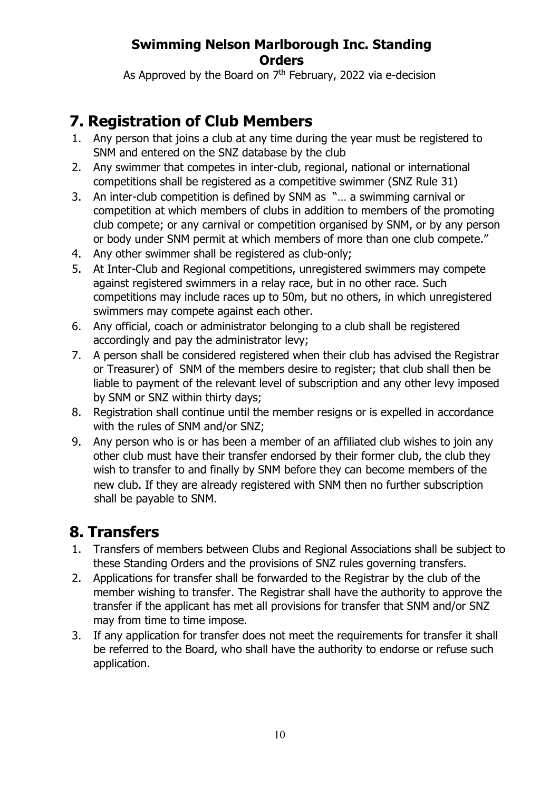As Approved by the Board on  $7<sup>th</sup>$  February, 2022 via e-decision

# **7. Registration of Club Members**

- 1. Any person that joins a club at any time during the year must be registered to SNM and entered on the SNZ database by the club
- 2. Any swimmer that competes in inter-club, regional, national or international competitions shall be registered as a competitive swimmer (SNZ Rule 31)
- 3. An inter-club competition is defined by SNM as "… a swimming carnival or competition at which members of clubs in addition to members of the promoting club compete; or any carnival or competition organised by SNM, or by any person or body under SNM permit at which members of more than one club compete."
- 4. Any other swimmer shall be registered as club-only;
- 5. At Inter-Club and Regional competitions, unregistered swimmers may compete against registered swimmers in a relay race, but in no other race. Such competitions may include races up to 50m, but no others, in which unregistered swimmers may compete against each other.
- 6. Any official, coach or administrator belonging to a club shall be registered accordingly and pay the administrator levy;
- 7. A person shall be considered registered when their club has advised the Registrar or Treasurer) of SNM of the members desire to register; that club shall then be liable to payment of the relevant level of subscription and any other levy imposed by SNM or SNZ within thirty days;
- 8. Registration shall continue until the member resigns or is expelled in accordance with the rules of SNM and/or SNZ;
- 9. Any person who is or has been a member of an affiliated club wishes to join any other club must have their transfer endorsed by their former club, the club they wish to transfer to and finally by SNM before they can become members of the new club. If they are already registered with SNM then no further subscription shall be payable to SNM.

# **8. Transfers**

- 1. Transfers of members between Clubs and Regional Associations shall be subject to these Standing Orders and the provisions of SNZ rules governing transfers.
- 2. Applications for transfer shall be forwarded to the Registrar by the club of the member wishing to transfer. The Registrar shall have the authority to approve the transfer if the applicant has met all provisions for transfer that SNM and/or SNZ may from time to time impose.
- 3. If any application for transfer does not meet the requirements for transfer it shall be referred to the Board, who shall have the authority to endorse or refuse such application.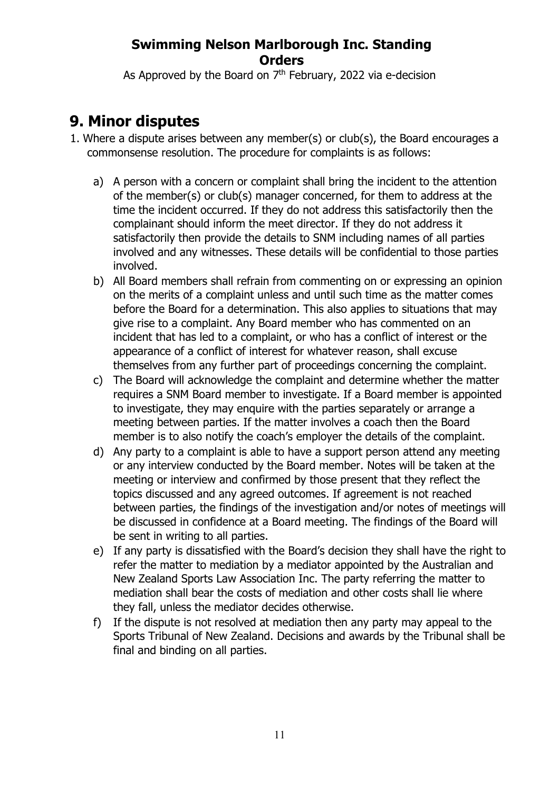As Approved by the Board on  $7<sup>th</sup>$  February, 2022 via e-decision

# **9. Minor disputes**

- 1. Where a dispute arises between any member(s) or club(s), the Board encourages a commonsense resolution. The procedure for complaints is as follows:
	- a) A person with a concern or complaint shall bring the incident to the attention of the member(s) or club(s) manager concerned, for them to address at the time the incident occurred. If they do not address this satisfactorily then the complainant should inform the meet director. If they do not address it satisfactorily then provide the details to SNM including names of all parties involved and any witnesses. These details will be confidential to those parties involved.
	- b) All Board members shall refrain from commenting on or expressing an opinion on the merits of a complaint unless and until such time as the matter comes before the Board for a determination. This also applies to situations that may give rise to a complaint. Any Board member who has commented on an incident that has led to a complaint, or who has a conflict of interest or the appearance of a conflict of interest for whatever reason, shall excuse themselves from any further part of proceedings concerning the complaint.
	- c) The Board will acknowledge the complaint and determine whether the matter requires a SNM Board member to investigate. If a Board member is appointed to investigate, they may enquire with the parties separately or arrange a meeting between parties. If the matter involves a coach then the Board member is to also notify the coach's employer the details of the complaint.
	- d) Any party to a complaint is able to have a support person attend any meeting or any interview conducted by the Board member. Notes will be taken at the meeting or interview and confirmed by those present that they reflect the topics discussed and any agreed outcomes. If agreement is not reached between parties, the findings of the investigation and/or notes of meetings will be discussed in confidence at a Board meeting. The findings of the Board will be sent in writing to all parties.
	- e) If any party is dissatisfied with the Board's decision they shall have the right to refer the matter to mediation by a mediator appointed by the Australian and New Zealand Sports Law Association Inc. The party referring the matter to mediation shall bear the costs of mediation and other costs shall lie where they fall, unless the mediator decides otherwise.
	- f) If the dispute is not resolved at mediation then any party may appeal to the Sports Tribunal of New Zealand. Decisions and awards by the Tribunal shall be final and binding on all parties.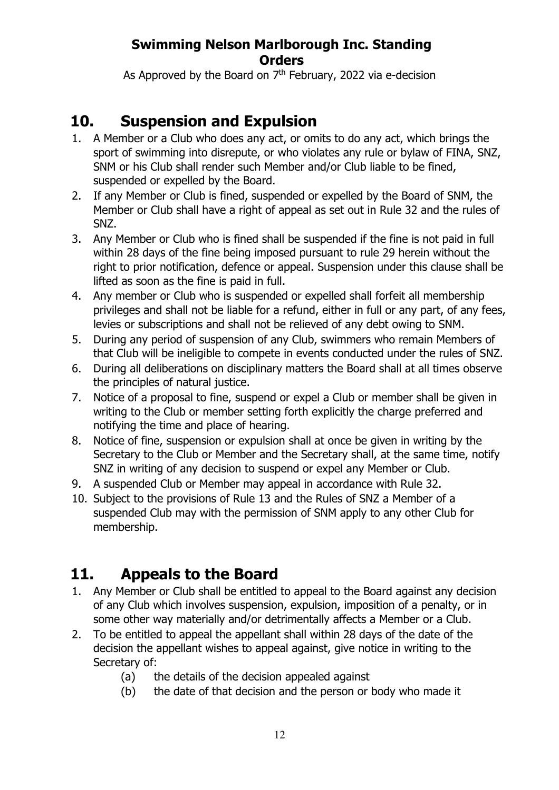As Approved by the Board on  $7<sup>th</sup>$  February, 2022 via e-decision

# **10. Suspension and Expulsion**

- 1. A Member or a Club who does any act, or omits to do any act, which brings the sport of swimming into disrepute, or who violates any rule or bylaw of FINA, SNZ, SNM or his Club shall render such Member and/or Club liable to be fined, suspended or expelled by the Board.
- 2. If any Member or Club is fined, suspended or expelled by the Board of SNM, the Member or Club shall have a right of appeal as set out in Rule 32 and the rules of SNZ.
- 3. Any Member or Club who is fined shall be suspended if the fine is not paid in full within 28 days of the fine being imposed pursuant to rule 29 herein without the right to prior notification, defence or appeal. Suspension under this clause shall be lifted as soon as the fine is paid in full.
- 4. Any member or Club who is suspended or expelled shall forfeit all membership privileges and shall not be liable for a refund, either in full or any part, of any fees, levies or subscriptions and shall not be relieved of any debt owing to SNM.
- 5. During any period of suspension of any Club, swimmers who remain Members of that Club will be ineligible to compete in events conducted under the rules of SNZ.
- 6. During all deliberations on disciplinary matters the Board shall at all times observe the principles of natural justice.
- 7. Notice of a proposal to fine, suspend or expel a Club or member shall be given in writing to the Club or member setting forth explicitly the charge preferred and notifying the time and place of hearing.
- 8. Notice of fine, suspension or expulsion shall at once be given in writing by the Secretary to the Club or Member and the Secretary shall, at the same time, notify SNZ in writing of any decision to suspend or expel any Member or Club.
- 9. A suspended Club or Member may appeal in accordance with Rule 32.
- 10. Subject to the provisions of Rule 13 and the Rules of SNZ a Member of a suspended Club may with the permission of SNM apply to any other Club for membership.

# **11. Appeals to the Board**

- 1. Any Member or Club shall be entitled to appeal to the Board against any decision of any Club which involves suspension, expulsion, imposition of a penalty, or in some other way materially and/or detrimentally affects a Member or a Club.
- 2. To be entitled to appeal the appellant shall within 28 days of the date of the decision the appellant wishes to appeal against, give notice in writing to the Secretary of:
	- (a) the details of the decision appealed against
	- (b) the date of that decision and the person or body who made it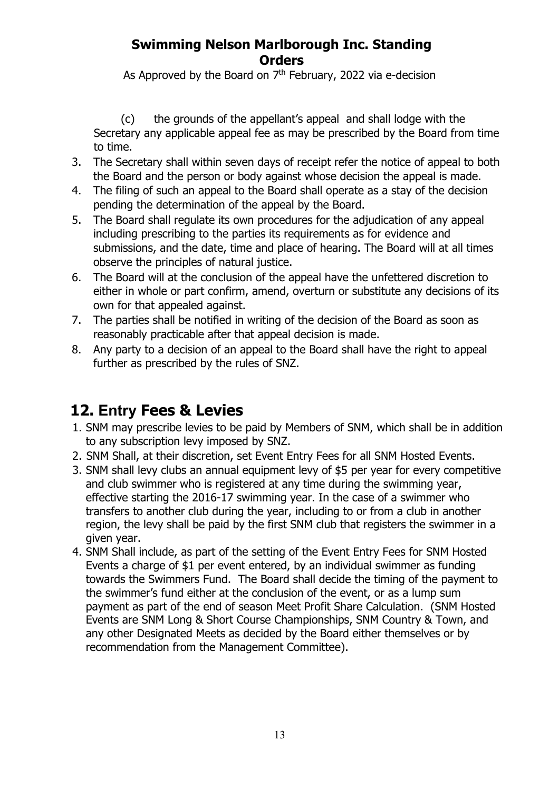As Approved by the Board on  $7<sup>th</sup>$  February, 2022 via e-decision

(c) the grounds of the appellant's appeal and shall lodge with the Secretary any applicable appeal fee as may be prescribed by the Board from time to time.

- 3. The Secretary shall within seven days of receipt refer the notice of appeal to both the Board and the person or body against whose decision the appeal is made.
- 4. The filing of such an appeal to the Board shall operate as a stay of the decision pending the determination of the appeal by the Board.
- 5. The Board shall regulate its own procedures for the adjudication of any appeal including prescribing to the parties its requirements as for evidence and submissions, and the date, time and place of hearing. The Board will at all times observe the principles of natural justice.
- 6. The Board will at the conclusion of the appeal have the unfettered discretion to either in whole or part confirm, amend, overturn or substitute any decisions of its own for that appealed against.
- 7. The parties shall be notified in writing of the decision of the Board as soon as reasonably practicable after that appeal decision is made.
- 8. Any party to a decision of an appeal to the Board shall have the right to appeal further as prescribed by the rules of SNZ.

# **12. Entry Fees & Levies**

- 1. SNM may prescribe levies to be paid by Members of SNM, which shall be in addition to any subscription levy imposed by SNZ.
- 2. SNM Shall, at their discretion, set Event Entry Fees for all SNM Hosted Events.
- 3. SNM shall levy clubs an annual equipment levy of \$5 per year for every competitive and club swimmer who is registered at any time during the swimming year, effective starting the 2016-17 swimming year. In the case of a swimmer who transfers to another club during the year, including to or from a club in another region, the levy shall be paid by the first SNM club that registers the swimmer in a given year.
- 4. SNM Shall include, as part of the setting of the Event Entry Fees for SNM Hosted Events a charge of \$1 per event entered, by an individual swimmer as funding towards the Swimmers Fund. The Board shall decide the timing of the payment to the swimmer's fund either at the conclusion of the event, or as a lump sum payment as part of the end of season Meet Profit Share Calculation. (SNM Hosted Events are SNM Long & Short Course Championships, SNM Country & Town, and any other Designated Meets as decided by the Board either themselves or by recommendation from the Management Committee).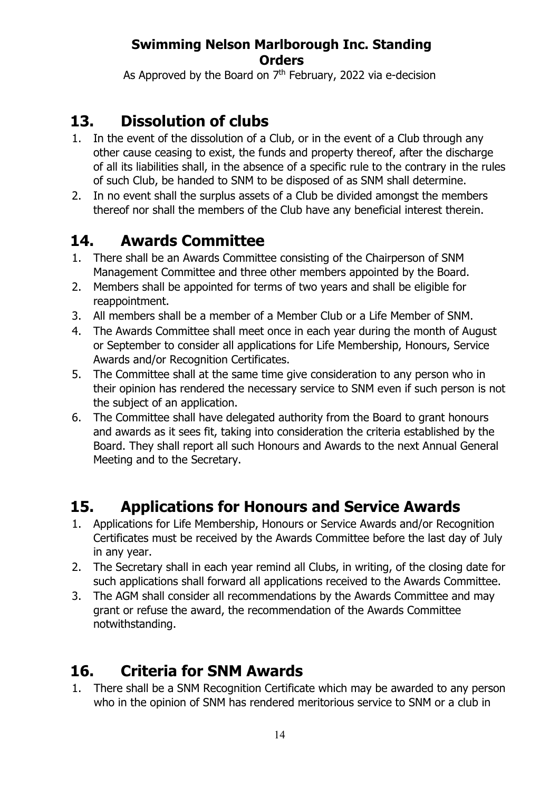As Approved by the Board on  $7<sup>th</sup>$  February, 2022 via e-decision

# **13. Dissolution of clubs**

- 1. In the event of the dissolution of a Club, or in the event of a Club through any other cause ceasing to exist, the funds and property thereof, after the discharge of all its liabilities shall, in the absence of a specific rule to the contrary in the rules of such Club, be handed to SNM to be disposed of as SNM shall determine.
- 2. In no event shall the surplus assets of a Club be divided amongst the members thereof nor shall the members of the Club have any beneficial interest therein.

# **14. Awards Committee**

- 1. There shall be an Awards Committee consisting of the Chairperson of SNM Management Committee and three other members appointed by the Board.
- 2. Members shall be appointed for terms of two years and shall be eligible for reappointment.
- 3. All members shall be a member of a Member Club or a Life Member of SNM.
- 4. The Awards Committee shall meet once in each year during the month of August or September to consider all applications for Life Membership, Honours, Service Awards and/or Recognition Certificates.
- 5. The Committee shall at the same time give consideration to any person who in their opinion has rendered the necessary service to SNM even if such person is not the subject of an application.
- 6. The Committee shall have delegated authority from the Board to grant honours and awards as it sees fit, taking into consideration the criteria established by the Board. They shall report all such Honours and Awards to the next Annual General Meeting and to the Secretary.

# **15. Applications for Honours and Service Awards**

- 1. Applications for Life Membership, Honours or Service Awards and/or Recognition Certificates must be received by the Awards Committee before the last day of July in any year.
- 2. The Secretary shall in each year remind all Clubs, in writing, of the closing date for such applications shall forward all applications received to the Awards Committee.
- 3. The AGM shall consider all recommendations by the Awards Committee and may grant or refuse the award, the recommendation of the Awards Committee notwithstanding.

# **16. Criteria for SNM Awards**

1. There shall be a SNM Recognition Certificate which may be awarded to any person who in the opinion of SNM has rendered meritorious service to SNM or a club in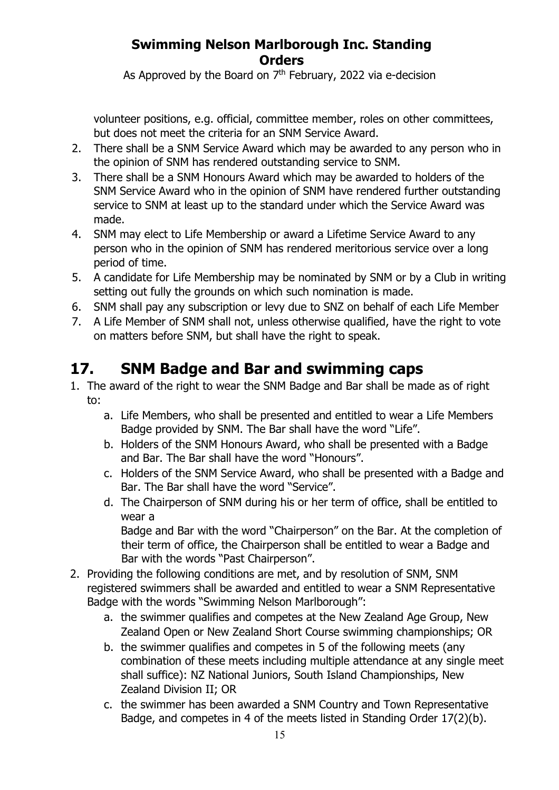As Approved by the Board on  $7<sup>th</sup>$  February, 2022 via e-decision

volunteer positions, e.g. official, committee member, roles on other committees, but does not meet the criteria for an SNM Service Award.

- 2. There shall be a SNM Service Award which may be awarded to any person who in the opinion of SNM has rendered outstanding service to SNM.
- 3. There shall be a SNM Honours Award which may be awarded to holders of the SNM Service Award who in the opinion of SNM have rendered further outstanding service to SNM at least up to the standard under which the Service Award was made.
- 4. SNM may elect to Life Membership or award a Lifetime Service Award to any person who in the opinion of SNM has rendered meritorious service over a long period of time.
- 5. A candidate for Life Membership may be nominated by SNM or by a Club in writing setting out fully the grounds on which such nomination is made.
- 6. SNM shall pay any subscription or levy due to SNZ on behalf of each Life Member
- 7. A Life Member of SNM shall not, unless otherwise qualified, have the right to vote on matters before SNM, but shall have the right to speak.

# **17. SNM Badge and Bar and swimming caps**

- 1. The award of the right to wear the SNM Badge and Bar shall be made as of right to:
	- a. Life Members, who shall be presented and entitled to wear a Life Members Badge provided by SNM. The Bar shall have the word "Life".
	- b. Holders of the SNM Honours Award, who shall be presented with a Badge and Bar. The Bar shall have the word "Honours".
	- c. Holders of the SNM Service Award, who shall be presented with a Badge and Bar. The Bar shall have the word "Service".
	- d. The Chairperson of SNM during his or her term of office, shall be entitled to wear a

Badge and Bar with the word "Chairperson" on the Bar. At the completion of their term of office, the Chairperson shall be entitled to wear a Badge and Bar with the words "Past Chairperson".

- 2. Providing the following conditions are met, and by resolution of SNM, SNM registered swimmers shall be awarded and entitled to wear a SNM Representative Badge with the words "Swimming Nelson Marlborough":
	- a. the swimmer qualifies and competes at the New Zealand Age Group, New Zealand Open or New Zealand Short Course swimming championships; OR
	- b. the swimmer qualifies and competes in 5 of the following meets (any combination of these meets including multiple attendance at any single meet shall suffice): NZ National Juniors, South Island Championships, New Zealand Division II; OR
	- c. the swimmer has been awarded a SNM Country and Town Representative Badge, and competes in 4 of the meets listed in Standing Order 17(2)(b).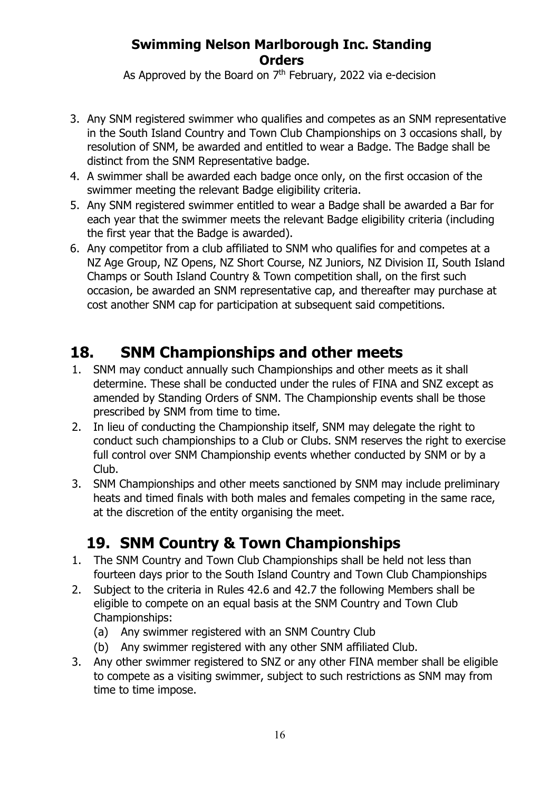As Approved by the Board on  $7<sup>th</sup>$  February, 2022 via e-decision

- 3. Any SNM registered swimmer who qualifies and competes as an SNM representative in the South Island Country and Town Club Championships on 3 occasions shall, by resolution of SNM, be awarded and entitled to wear a Badge. The Badge shall be distinct from the SNM Representative badge.
- 4. A swimmer shall be awarded each badge once only, on the first occasion of the swimmer meeting the relevant Badge eligibility criteria.
- 5. Any SNM registered swimmer entitled to wear a Badge shall be awarded a Bar for each year that the swimmer meets the relevant Badge eligibility criteria (including the first year that the Badge is awarded).
- 6. Any competitor from a club affiliated to SNM who qualifies for and competes at a NZ Age Group, NZ Opens, NZ Short Course, NZ Juniors, NZ Division II, South Island Champs or South Island Country & Town competition shall, on the first such occasion, be awarded an SNM representative cap, and thereafter may purchase at cost another SNM cap for participation at subsequent said competitions.

## **18. SNM Championships and other meets**

- 1. SNM may conduct annually such Championships and other meets as it shall determine. These shall be conducted under the rules of FINA and SNZ except as amended by Standing Orders of SNM. The Championship events shall be those prescribed by SNM from time to time.
- 2. In lieu of conducting the Championship itself, SNM may delegate the right to conduct such championships to a Club or Clubs. SNM reserves the right to exercise full control over SNM Championship events whether conducted by SNM or by a Club.
- 3. SNM Championships and other meets sanctioned by SNM may include preliminary heats and timed finals with both males and females competing in the same race, at the discretion of the entity organising the meet.

# **19. SNM Country & Town Championships**

- 1. The SNM Country and Town Club Championships shall be held not less than fourteen days prior to the South Island Country and Town Club Championships
- 2. Subject to the criteria in Rules 42.6 and 42.7 the following Members shall be eligible to compete on an equal basis at the SNM Country and Town Club Championships:
	- (a) Any swimmer registered with an SNM Country Club
	- (b) Any swimmer registered with any other SNM affiliated Club.
- 3. Any other swimmer registered to SNZ or any other FINA member shall be eligible to compete as a visiting swimmer, subject to such restrictions as SNM may from time to time impose.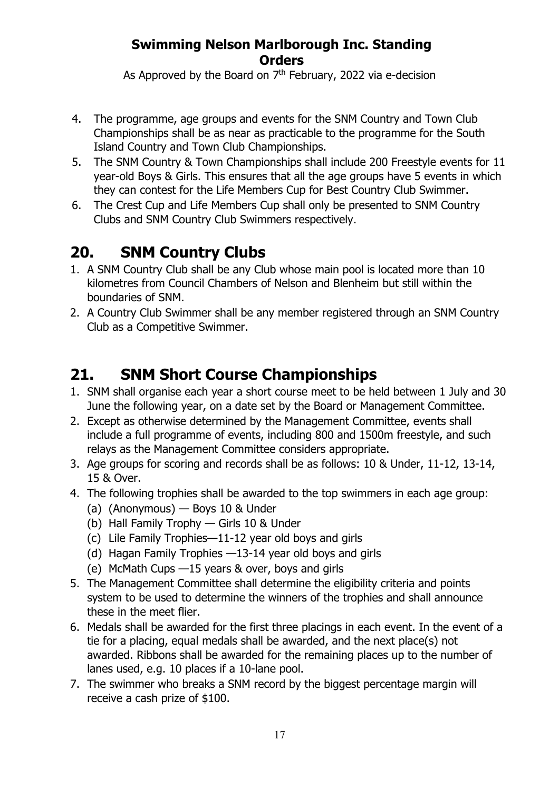As Approved by the Board on  $7<sup>th</sup>$  February, 2022 via e-decision

- 4. The programme, age groups and events for the SNM Country and Town Club Championships shall be as near as practicable to the programme for the South Island Country and Town Club Championships.
- 5. The SNM Country & Town Championships shall include 200 Freestyle events for 11 year-old Boys & Girls. This ensures that all the age groups have 5 events in which they can contest for the Life Members Cup for Best Country Club Swimmer.
- 6. The Crest Cup and Life Members Cup shall only be presented to SNM Country Clubs and SNM Country Club Swimmers respectively.

# **20. SNM Country Clubs**

- 1. A SNM Country Club shall be any Club whose main pool is located more than 10 kilometres from Council Chambers of Nelson and Blenheim but still within the boundaries of SNM.
- 2. A Country Club Swimmer shall be any member registered through an SNM Country Club as a Competitive Swimmer.

# **21. SNM Short Course Championships**

- 1. SNM shall organise each year a short course meet to be held between 1 July and 30 June the following year, on a date set by the Board or Management Committee.
- 2. Except as otherwise determined by the Management Committee, events shall include a full programme of events, including 800 and 1500m freestyle, and such relays as the Management Committee considers appropriate.
- 3. Age groups for scoring and records shall be as follows: 10 & Under, 11-12, 13-14, 15 & Over.
- 4. The following trophies shall be awarded to the top swimmers in each age group:
	- (a) (Anonymous) Boys 10 & Under
	- (b) Hall Family Trophy Girls 10 & Under
	- (c) Lile Family Trophies—11-12 year old boys and girls
	- (d) Hagan Family Trophies —13-14 year old boys and girls
	- (e) McMath Cups —15 years & over, boys and girls
- 5. The Management Committee shall determine the eligibility criteria and points system to be used to determine the winners of the trophies and shall announce these in the meet flier.
- 6. Medals shall be awarded for the first three placings in each event. In the event of a tie for a placing, equal medals shall be awarded, and the next place(s) not awarded. Ribbons shall be awarded for the remaining places up to the number of lanes used, e.g. 10 places if a 10-lane pool.
- 7. The swimmer who breaks a SNM record by the biggest percentage margin will receive a cash prize of \$100.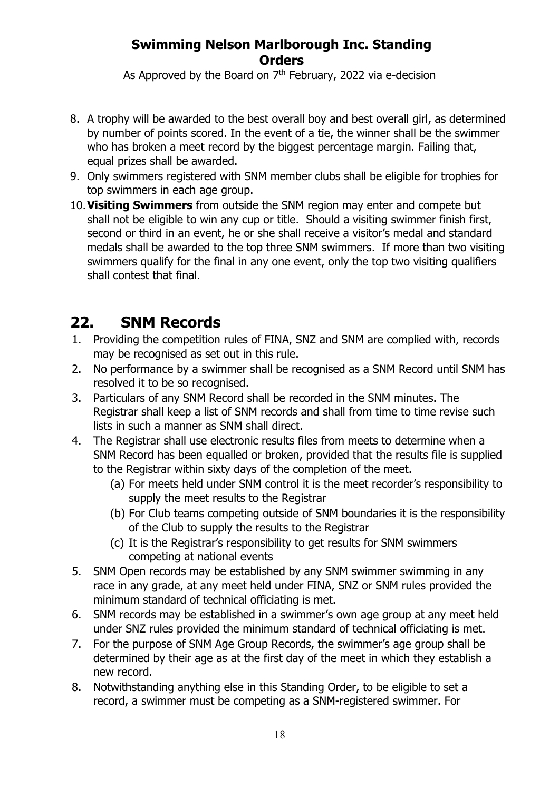As Approved by the Board on  $7<sup>th</sup>$  February, 2022 via e-decision

- 8. A trophy will be awarded to the best overall boy and best overall girl, as determined by number of points scored. In the event of a tie, the winner shall be the swimmer who has broken a meet record by the biggest percentage margin. Failing that, equal prizes shall be awarded.
- 9. Only swimmers registered with SNM member clubs shall be eligible for trophies for top swimmers in each age group.
- 10.**Visiting Swimmers** from outside the SNM region may enter and compete but shall not be eligible to win any cup or title. Should a visiting swimmer finish first, second or third in an event, he or she shall receive a visitor's medal and standard medals shall be awarded to the top three SNM swimmers. If more than two visiting swimmers qualify for the final in any one event, only the top two visiting qualifiers shall contest that final.

## **22. SNM Records**

- 1. Providing the competition rules of FINA, SNZ and SNM are complied with, records may be recognised as set out in this rule.
- 2. No performance by a swimmer shall be recognised as a SNM Record until SNM has resolved it to be so recognised.
- 3. Particulars of any SNM Record shall be recorded in the SNM minutes. The Registrar shall keep a list of SNM records and shall from time to time revise such lists in such a manner as SNM shall direct.
- 4. The Registrar shall use electronic results files from meets to determine when a SNM Record has been equalled or broken, provided that the results file is supplied to the Registrar within sixty days of the completion of the meet.
	- (a) For meets held under SNM control it is the meet recorder's responsibility to supply the meet results to the Registrar
	- (b) For Club teams competing outside of SNM boundaries it is the responsibility of the Club to supply the results to the Registrar
	- (c) It is the Registrar's responsibility to get results for SNM swimmers competing at national events
- 5. SNM Open records may be established by any SNM swimmer swimming in any race in any grade, at any meet held under FINA, SNZ or SNM rules provided the minimum standard of technical officiating is met.
- 6. SNM records may be established in a swimmer's own age group at any meet held under SNZ rules provided the minimum standard of technical officiating is met.
- 7. For the purpose of SNM Age Group Records, the swimmer's age group shall be determined by their age as at the first day of the meet in which they establish a new record.
- 8. Notwithstanding anything else in this Standing Order, to be eligible to set a record, a swimmer must be competing as a SNM-registered swimmer. For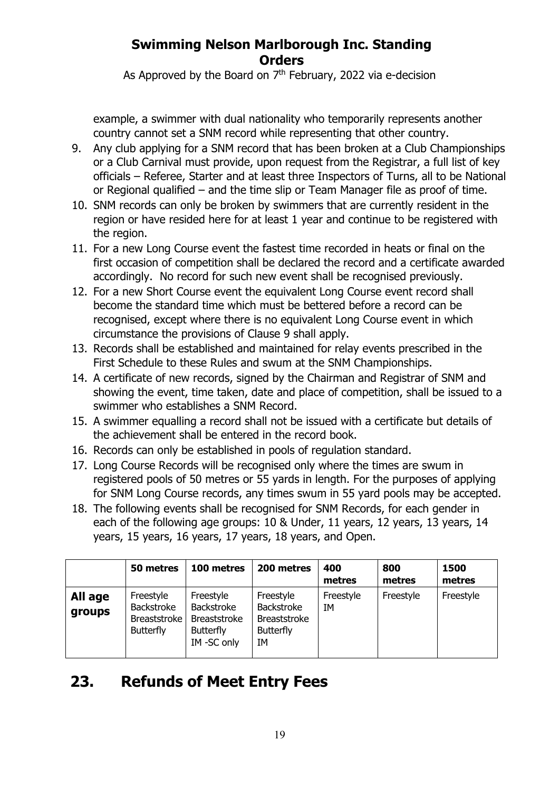As Approved by the Board on  $7<sup>th</sup>$  February, 2022 via e-decision

example, a swimmer with dual nationality who temporarily represents another country cannot set a SNM record while representing that other country.

- 9. Any club applying for a SNM record that has been broken at a Club Championships or a Club Carnival must provide, upon request from the Registrar, a full list of key officials – Referee, Starter and at least three Inspectors of Turns, all to be National or Regional qualified – and the time slip or Team Manager file as proof of time.
- 10. SNM records can only be broken by swimmers that are currently resident in the region or have resided here for at least 1 year and continue to be registered with the region.
- 11. For a new Long Course event the fastest time recorded in heats or final on the first occasion of competition shall be declared the record and a certificate awarded accordingly. No record for such new event shall be recognised previously.
- 12. For a new Short Course event the equivalent Long Course event record shall become the standard time which must be bettered before a record can be recognised, except where there is no equivalent Long Course event in which circumstance the provisions of Clause 9 shall apply.
- 13. Records shall be established and maintained for relay events prescribed in the First Schedule to these Rules and swum at the SNM Championships.
- 14. A certificate of new records, signed by the Chairman and Registrar of SNM and showing the event, time taken, date and place of competition, shall be issued to a swimmer who establishes a SNM Record.
- 15. A swimmer equalling a record shall not be issued with a certificate but details of the achievement shall be entered in the record book.
- 16. Records can only be established in pools of regulation standard.
- 17. Long Course Records will be recognised only where the times are swum in registered pools of 50 metres or 55 yards in length. For the purposes of applying for SNM Long Course records, any times swum in 55 yard pools may be accepted.
- 18. The following events shall be recognised for SNM Records, for each gender in each of the following age groups: 10 & Under, 11 years, 12 years, 13 years, 14 years, 15 years, 16 years, 17 years, 18 years, and Open.

|                   | 50 metres                                                          | 100 metres                                                                              | 200 metres                                                                      | 400<br>metres   | 800<br>metres | 1500<br>metres |
|-------------------|--------------------------------------------------------------------|-----------------------------------------------------------------------------------------|---------------------------------------------------------------------------------|-----------------|---------------|----------------|
| All age<br>groups | Freestyle<br>Backstroke<br><b>Breaststroke</b><br><b>Butterfly</b> | Freestyle<br><b>Backstroke</b><br><b>Breaststroke</b><br><b>Butterfly</b><br>IM-SC only | Freestyle<br><b>Backstroke</b><br><b>Breaststroke</b><br><b>Butterfly</b><br>IΜ | Freestyle<br>IΜ | Freestyle     | Freestyle      |

## **23. Refunds of Meet Entry Fees**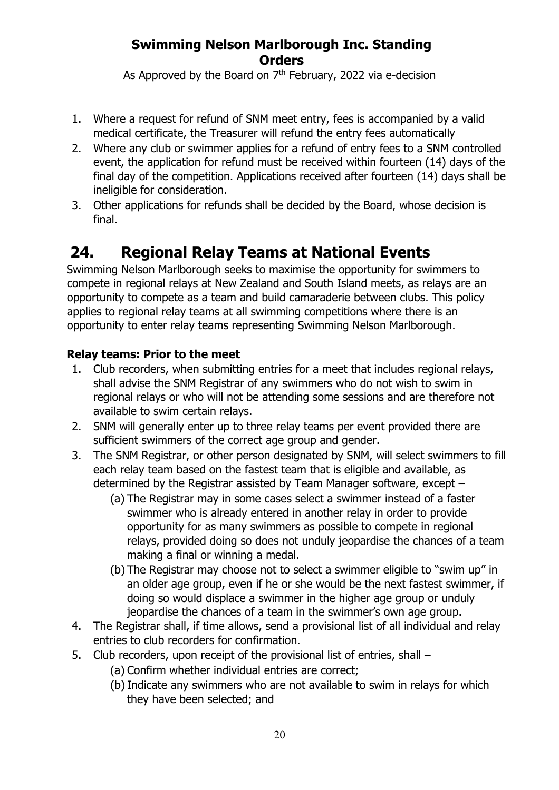As Approved by the Board on  $7<sup>th</sup>$  February, 2022 via e-decision

- 1. Where a request for refund of SNM meet entry, fees is accompanied by a valid medical certificate, the Treasurer will refund the entry fees automatically
- 2. Where any club or swimmer applies for a refund of entry fees to a SNM controlled event, the application for refund must be received within fourteen (14) days of the final day of the competition. Applications received after fourteen (14) days shall be ineligible for consideration.
- 3. Other applications for refunds shall be decided by the Board, whose decision is final.

# **24. Regional Relay Teams at National Events**

Swimming Nelson Marlborough seeks to maximise the opportunity for swimmers to compete in regional relays at New Zealand and South Island meets, as relays are an opportunity to compete as a team and build camaraderie between clubs. This policy applies to regional relay teams at all swimming competitions where there is an opportunity to enter relay teams representing Swimming Nelson Marlborough.

### **Relay teams: Prior to the meet**

- 1. Club recorders, when submitting entries for a meet that includes regional relays, shall advise the SNM Registrar of any swimmers who do not wish to swim in regional relays or who will not be attending some sessions and are therefore not available to swim certain relays.
- 2. SNM will generally enter up to three relay teams per event provided there are sufficient swimmers of the correct age group and gender.
- 3. The SNM Registrar, or other person designated by SNM, will select swimmers to fill each relay team based on the fastest team that is eligible and available, as determined by the Registrar assisted by Team Manager software, except –
	- (a) The Registrar may in some cases select a swimmer instead of a faster swimmer who is already entered in another relay in order to provide opportunity for as many swimmers as possible to compete in regional relays, provided doing so does not unduly jeopardise the chances of a team making a final or winning a medal.
	- (b) The Registrar may choose not to select a swimmer eligible to "swim up" in an older age group, even if he or she would be the next fastest swimmer, if doing so would displace a swimmer in the higher age group or unduly jeopardise the chances of a team in the swimmer's own age group.
- 4. The Registrar shall, if time allows, send a provisional list of all individual and relay entries to club recorders for confirmation.
- 5. Club recorders, upon receipt of the provisional list of entries, shall
	- (a) Confirm whether individual entries are correct;
	- (b)Indicate any swimmers who are not available to swim in relays for which they have been selected; and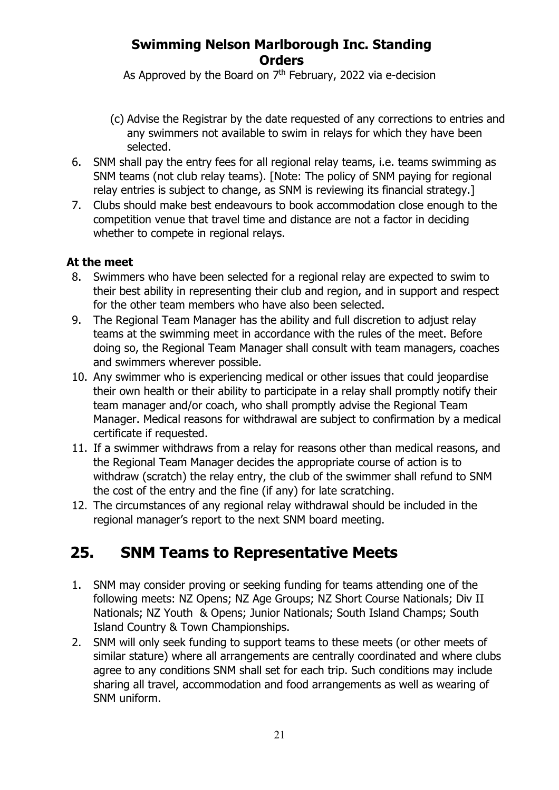As Approved by the Board on  $7<sup>th</sup>$  February, 2022 via e-decision

- (c) Advise the Registrar by the date requested of any corrections to entries and any swimmers not available to swim in relays for which they have been selected.
- 6. SNM shall pay the entry fees for all regional relay teams, i.e. teams swimming as SNM teams (not club relay teams). [Note: The policy of SNM paying for regional relay entries is subject to change, as SNM is reviewing its financial strategy.]
- 7. Clubs should make best endeavours to book accommodation close enough to the competition venue that travel time and distance are not a factor in deciding whether to compete in regional relays.

#### **At the meet**

- 8. Swimmers who have been selected for a regional relay are expected to swim to their best ability in representing their club and region, and in support and respect for the other team members who have also been selected.
- 9. The Regional Team Manager has the ability and full discretion to adjust relay teams at the swimming meet in accordance with the rules of the meet. Before doing so, the Regional Team Manager shall consult with team managers, coaches and swimmers wherever possible.
- 10. Any swimmer who is experiencing medical or other issues that could jeopardise their own health or their ability to participate in a relay shall promptly notify their team manager and/or coach, who shall promptly advise the Regional Team Manager. Medical reasons for withdrawal are subject to confirmation by a medical certificate if requested.
- 11. If a swimmer withdraws from a relay for reasons other than medical reasons, and the Regional Team Manager decides the appropriate course of action is to withdraw (scratch) the relay entry, the club of the swimmer shall refund to SNM the cost of the entry and the fine (if any) for late scratching.
- 12. The circumstances of any regional relay withdrawal should be included in the regional manager's report to the next SNM board meeting.

## **25. SNM Teams to Representative Meets**

- 1. SNM may consider proving or seeking funding for teams attending one of the following meets: NZ Opens; NZ Age Groups; NZ Short Course Nationals; Div II Nationals; NZ Youth & Opens; Junior Nationals; South Island Champs; South Island Country & Town Championships.
- 2. SNM will only seek funding to support teams to these meets (or other meets of similar stature) where all arrangements are centrally coordinated and where clubs agree to any conditions SNM shall set for each trip. Such conditions may include sharing all travel, accommodation and food arrangements as well as wearing of SNM uniform.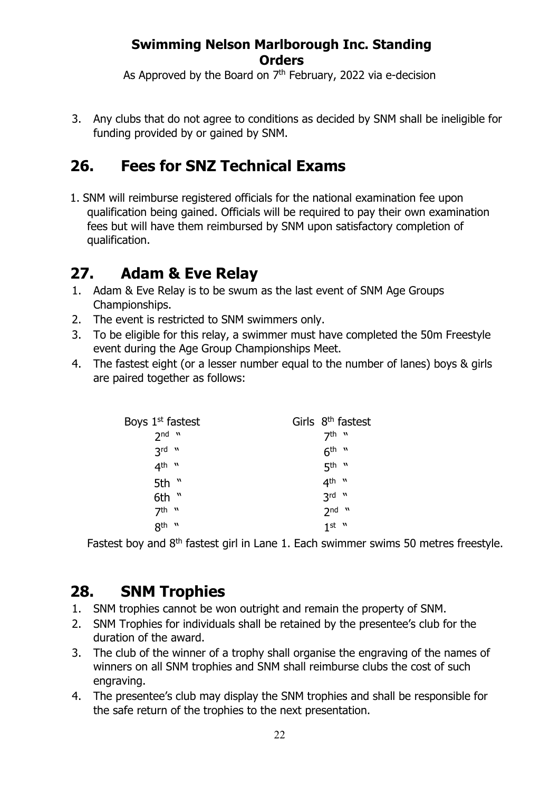As Approved by the Board on  $7<sup>th</sup>$  February, 2022 via e-decision

3. Any clubs that do not agree to conditions as decided by SNM shall be ineligible for funding provided by or gained by SNM.

# **26. Fees for SNZ Technical Exams**

1. SNM will reimburse registered officials for the national examination fee upon qualification being gained. Officials will be required to pay their own examination fees but will have them reimbursed by SNM upon satisfactory completion of qualification.

## **27. Adam & Eve Relay**

- 1. Adam & Eve Relay is to be swum as the last event of SNM Age Groups Championships.
- 2. The event is restricted to SNM swimmers only.
- 3. To be eligible for this relay, a swimmer must have completed the 50m Freestyle event during the Age Group Championships Meet.
- 4. The fastest eight (or a lesser number equal to the number of lanes) boys & girls are paired together as follows:

| Boys 1 <sup>st</sup> fastest | Girls $8th$ fastest |
|------------------------------|---------------------|
| $2nd$ $"$                    | 7th "               |
| $3rd$ "                      | $6th$ "             |
| $4th$ "                      | $5th$ "             |
| 5th "                        | $4^{\text{th}}$ "   |
| 6th $"$                      | $3rd$ "             |
| $7th$ "                      | $2nd$ "             |
| $8th$ "                      | $1st$ "             |

Fastest boy and 8<sup>th</sup> fastest girl in Lane 1. Each swimmer swims 50 metres freestyle.

## **28. SNM Trophies**

- 1. SNM trophies cannot be won outright and remain the property of SNM.
- 2. SNM Trophies for individuals shall be retained by the presentee's club for the duration of the award.
- 3. The club of the winner of a trophy shall organise the engraving of the names of winners on all SNM trophies and SNM shall reimburse clubs the cost of such engraving.
- 4. The presentee's club may display the SNM trophies and shall be responsible for the safe return of the trophies to the next presentation.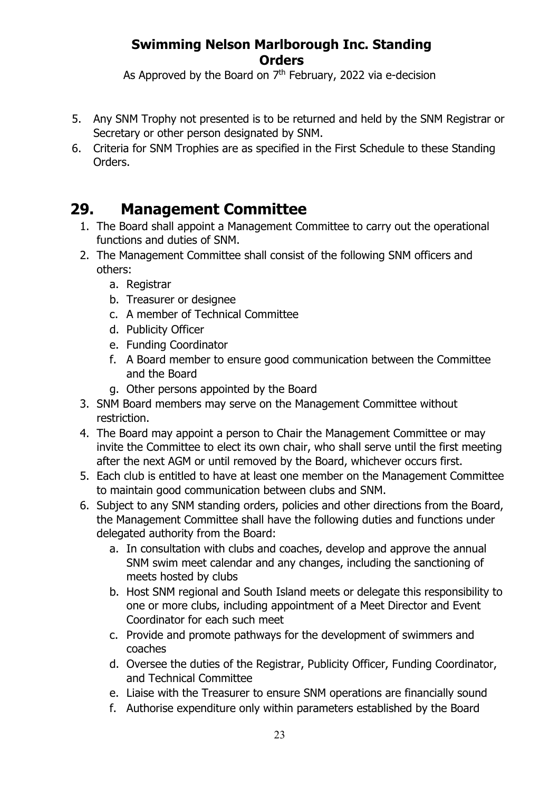As Approved by the Board on  $7<sup>th</sup>$  February, 2022 via e-decision

- 5. Any SNM Trophy not presented is to be returned and held by the SNM Registrar or Secretary or other person designated by SNM.
- 6. Criteria for SNM Trophies are as specified in the First Schedule to these Standing Orders.

## **29. Management Committee**

- 1. The Board shall appoint a Management Committee to carry out the operational functions and duties of SNM.
- 2. The Management Committee shall consist of the following SNM officers and others:
	- a. Registrar
	- b. Treasurer or designee
	- c. A member of Technical Committee
	- d. Publicity Officer
	- e. Funding Coordinator
	- f. A Board member to ensure good communication between the Committee and the Board
	- g. Other persons appointed by the Board
- 3. SNM Board members may serve on the Management Committee without restriction.
- 4. The Board may appoint a person to Chair the Management Committee or may invite the Committee to elect its own chair, who shall serve until the first meeting after the next AGM or until removed by the Board, whichever occurs first.
- 5. Each club is entitled to have at least one member on the Management Committee to maintain good communication between clubs and SNM.
- 6. Subject to any SNM standing orders, policies and other directions from the Board, the Management Committee shall have the following duties and functions under delegated authority from the Board:
	- a. In consultation with clubs and coaches, develop and approve the annual SNM swim meet calendar and any changes, including the sanctioning of meets hosted by clubs
	- b. Host SNM regional and South Island meets or delegate this responsibility to one or more clubs, including appointment of a Meet Director and Event Coordinator for each such meet
	- c. Provide and promote pathways for the development of swimmers and coaches
	- d. Oversee the duties of the Registrar, Publicity Officer, Funding Coordinator, and Technical Committee
	- e. Liaise with the Treasurer to ensure SNM operations are financially sound
	- f. Authorise expenditure only within parameters established by the Board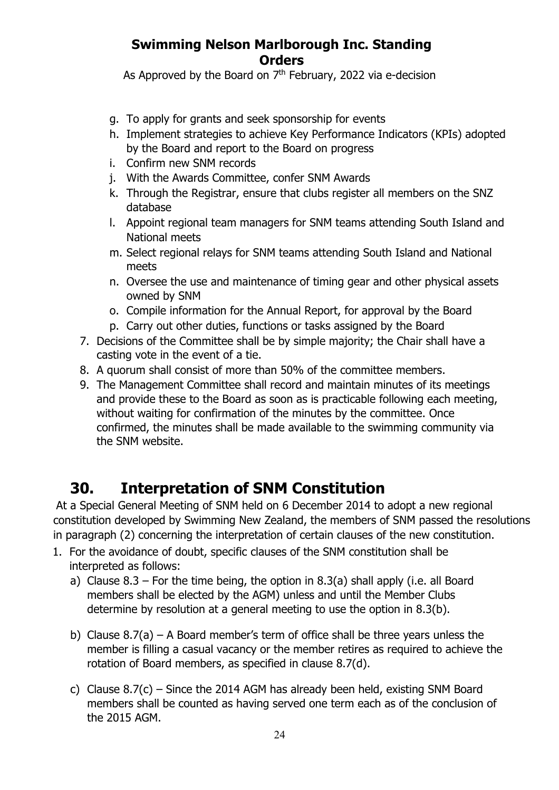As Approved by the Board on  $7<sup>th</sup>$  February, 2022 via e-decision

- g. To apply for grants and seek sponsorship for events
- h. Implement strategies to achieve Key Performance Indicators (KPIs) adopted by the Board and report to the Board on progress
- i. Confirm new SNM records
- j. With the Awards Committee, confer SNM Awards
- k. Through the Registrar, ensure that clubs register all members on the SNZ database
- l. Appoint regional team managers for SNM teams attending South Island and National meets
- m. Select regional relays for SNM teams attending South Island and National meets
- n. Oversee the use and maintenance of timing gear and other physical assets owned by SNM
- o. Compile information for the Annual Report, for approval by the Board
- p. Carry out other duties, functions or tasks assigned by the Board
- 7. Decisions of the Committee shall be by simple majority; the Chair shall have a casting vote in the event of a tie.
- 8. A quorum shall consist of more than 50% of the committee members.
- 9. The Management Committee shall record and maintain minutes of its meetings and provide these to the Board as soon as is practicable following each meeting, without waiting for confirmation of the minutes by the committee. Once confirmed, the minutes shall be made available to the swimming community via the SNM website.

# **30. Interpretation of SNM Constitution**

At a Special General Meeting of SNM held on 6 December 2014 to adopt a new regional constitution developed by Swimming New Zealand, the members of SNM passed the resolutions in paragraph (2) concerning the interpretation of certain clauses of the new constitution.

- 1. For the avoidance of doubt, specific clauses of the SNM constitution shall be interpreted as follows:
	- a) Clause  $8.3$  For the time being, the option in  $8.3(a)$  shall apply (i.e. all Board members shall be elected by the AGM) unless and until the Member Clubs determine by resolution at a general meeting to use the option in 8.3(b).
	- b) Clause  $8.7(a)$  A Board member's term of office shall be three years unless the member is filling a casual vacancy or the member retires as required to achieve the rotation of Board members, as specified in clause 8.7(d).
	- c) Clause 8.7(c) Since the 2014 AGM has already been held, existing SNM Board members shall be counted as having served one term each as of the conclusion of the 2015 AGM.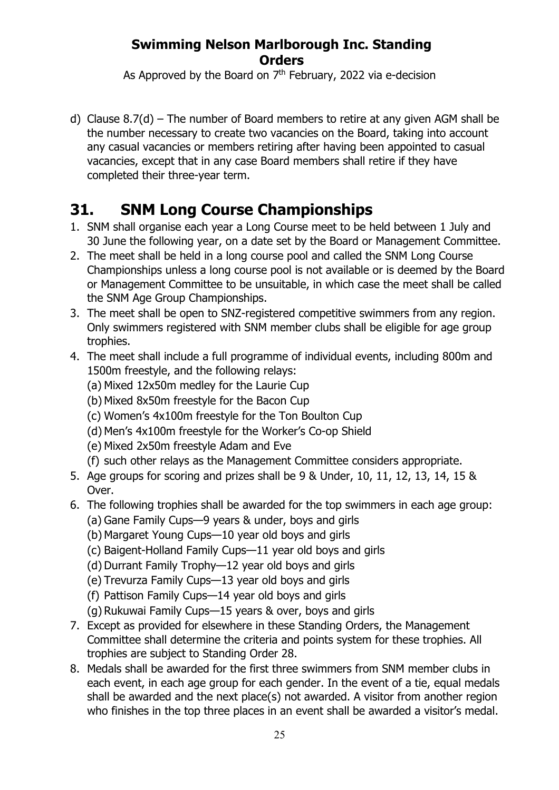As Approved by the Board on  $7<sup>th</sup>$  February, 2022 via e-decision

d) Clause  $8.7(d)$  – The number of Board members to retire at any given AGM shall be the number necessary to create two vacancies on the Board, taking into account any casual vacancies or members retiring after having been appointed to casual vacancies, except that in any case Board members shall retire if they have completed their three-year term.

# **31. SNM Long Course Championships**

- 1. SNM shall organise each year a Long Course meet to be held between 1 July and 30 June the following year, on a date set by the Board or Management Committee.
- 2. The meet shall be held in a long course pool and called the SNM Long Course Championships unless a long course pool is not available or is deemed by the Board or Management Committee to be unsuitable, in which case the meet shall be called the SNM Age Group Championships.
- 3. The meet shall be open to SNZ-registered competitive swimmers from any region. Only swimmers registered with SNM member clubs shall be eligible for age group trophies.
- 4. The meet shall include a full programme of individual events, including 800m and 1500m freestyle, and the following relays:
	- (a) Mixed 12x50m medley for the Laurie Cup
	- (b) Mixed 8x50m freestyle for the Bacon Cup
	- (c) Women's 4x100m freestyle for the Ton Boulton Cup
	- (d) Men's 4x100m freestyle for the Worker's Co-op Shield
	- (e) Mixed 2x50m freestyle Adam and Eve
	- (f) such other relays as the Management Committee considers appropriate.
- 5. Age groups for scoring and prizes shall be 9 & Under, 10, 11, 12, 13, 14, 15 & Over.
- 6. The following trophies shall be awarded for the top swimmers in each age group: (a) Gane Family Cups—9 years & under, boys and girls
	- (b) Margaret Young Cups—10 year old boys and girls
	- (c) Baigent-Holland Family Cups—11 year old boys and girls
	- (d) Durrant Family Trophy—12 year old boys and girls
	- (e) Trevurza Family Cups—13 year old boys and girls
	- (f) Pattison Family Cups—14 year old boys and girls
	- (g) Rukuwai Family Cups—15 years & over, boys and girls
- 7. Except as provided for elsewhere in these Standing Orders, the Management Committee shall determine the criteria and points system for these trophies. All trophies are subject to Standing Order 28.
- 8. Medals shall be awarded for the first three swimmers from SNM member clubs in each event, in each age group for each gender. In the event of a tie, equal medals shall be awarded and the next place(s) not awarded. A visitor from another region who finishes in the top three places in an event shall be awarded a visitor's medal.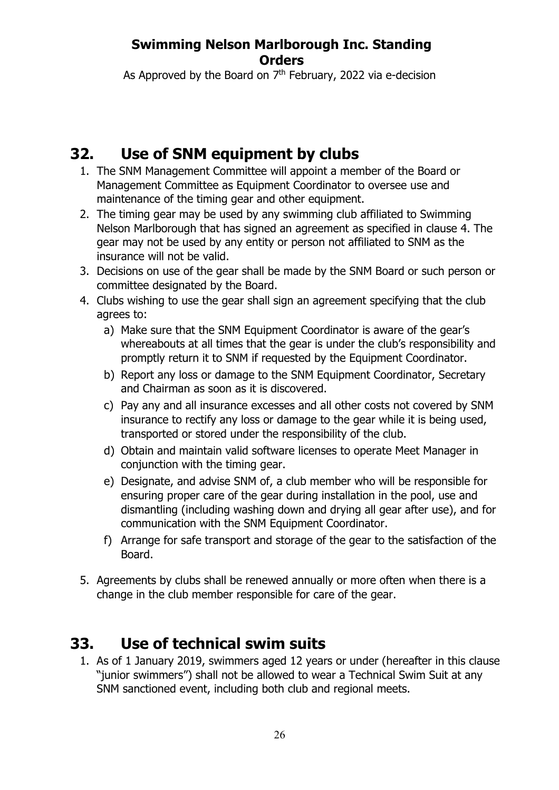As Approved by the Board on  $7<sup>th</sup>$  February, 2022 via e-decision

# **32. Use of SNM equipment by clubs**

- 1. The SNM Management Committee will appoint a member of the Board or Management Committee as Equipment Coordinator to oversee use and maintenance of the timing gear and other equipment.
- 2. The timing gear may be used by any swimming club affiliated to Swimming Nelson Marlborough that has signed an agreement as specified in clause 4. The gear may not be used by any entity or person not affiliated to SNM as the insurance will not be valid.
- 3. Decisions on use of the gear shall be made by the SNM Board or such person or committee designated by the Board.
- 4. Clubs wishing to use the gear shall sign an agreement specifying that the club agrees to:
	- a) Make sure that the SNM Equipment Coordinator is aware of the gear's whereabouts at all times that the gear is under the club's responsibility and promptly return it to SNM if requested by the Equipment Coordinator.
	- b) Report any loss or damage to the SNM Equipment Coordinator, Secretary and Chairman as soon as it is discovered.
	- c) Pay any and all insurance excesses and all other costs not covered by SNM insurance to rectify any loss or damage to the gear while it is being used, transported or stored under the responsibility of the club.
	- d) Obtain and maintain valid software licenses to operate Meet Manager in conjunction with the timing gear.
	- e) Designate, and advise SNM of, a club member who will be responsible for ensuring proper care of the gear during installation in the pool, use and dismantling (including washing down and drying all gear after use), and for communication with the SNM Equipment Coordinator.
	- f) Arrange for safe transport and storage of the gear to the satisfaction of the Board.
- 5. Agreements by clubs shall be renewed annually or more often when there is a change in the club member responsible for care of the gear.

# **33. Use of technical swim suits**

1. As of 1 January 2019, swimmers aged 12 years or under (hereafter in this clause "junior swimmers") shall not be allowed to wear a Technical Swim Suit at any SNM sanctioned event, including both club and regional meets.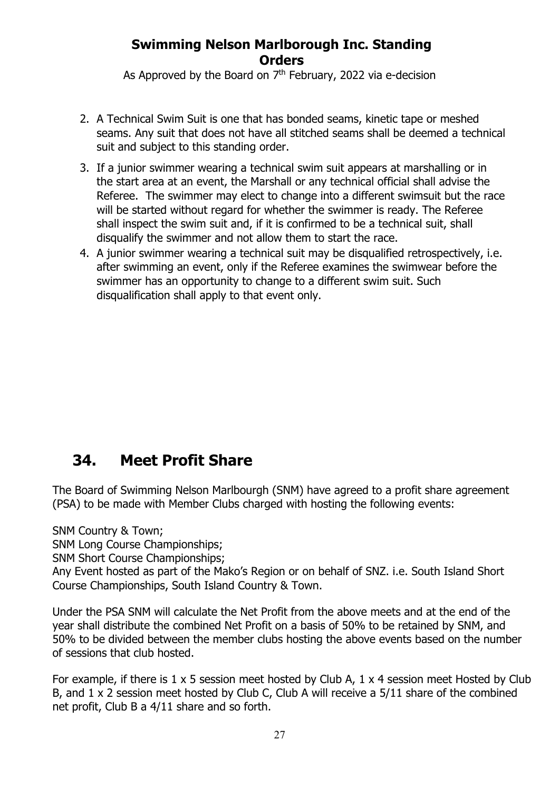As Approved by the Board on  $7<sup>th</sup>$  February, 2022 via e-decision

- 2. A Technical Swim Suit is one that has bonded seams, kinetic tape or meshed seams. Any suit that does not have all stitched seams shall be deemed a technical suit and subject to this standing order.
- 3. If a junior swimmer wearing a technical swim suit appears at marshalling or in the start area at an event, the Marshall or any technical official shall advise the Referee. The swimmer may elect to change into a different swimsuit but the race will be started without regard for whether the swimmer is ready. The Referee shall inspect the swim suit and, if it is confirmed to be a technical suit, shall disqualify the swimmer and not allow them to start the race.
- 4. A junior swimmer wearing a technical suit may be disqualified retrospectively, i.e. after swimming an event, only if the Referee examines the swimwear before the swimmer has an opportunity to change to a different swim suit. Such disqualification shall apply to that event only.

# **34. Meet Profit Share**

The Board of Swimming Nelson Marlbourgh (SNM) have agreed to a profit share agreement (PSA) to be made with Member Clubs charged with hosting the following events:

SNM Country & Town;

SNM Long Course Championships;

SNM Short Course Championships;

Any Event hosted as part of the Mako's Region or on behalf of SNZ. i.e. South Island Short Course Championships, South Island Country & Town.

Under the PSA SNM will calculate the Net Profit from the above meets and at the end of the year shall distribute the combined Net Profit on a basis of 50% to be retained by SNM, and 50% to be divided between the member clubs hosting the above events based on the number of sessions that club hosted.

For example, if there is  $1 \times 5$  session meet hosted by Club A,  $1 \times 4$  session meet Hosted by Club B, and 1 x 2 session meet hosted by Club C, Club A will receive a 5/11 share of the combined net profit, Club B a 4/11 share and so forth.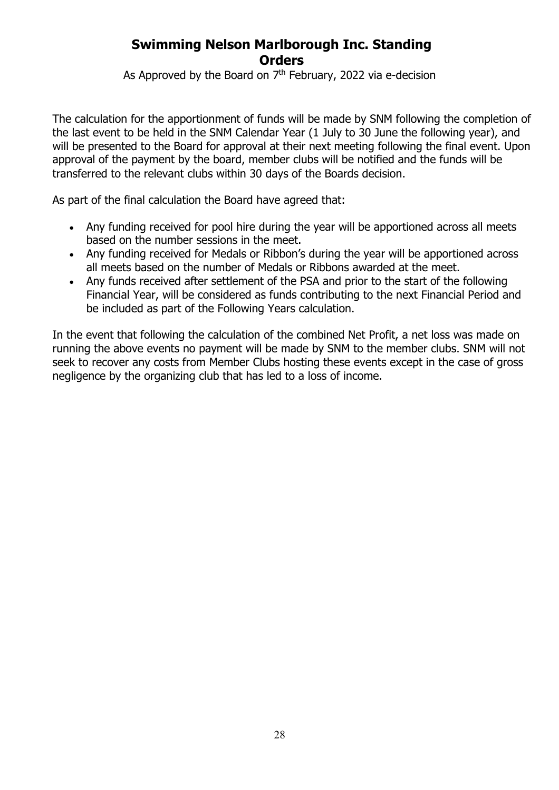As Approved by the Board on  $7<sup>th</sup>$  February, 2022 via e-decision

The calculation for the apportionment of funds will be made by SNM following the completion of the last event to be held in the SNM Calendar Year (1 July to 30 June the following year), and will be presented to the Board for approval at their next meeting following the final event. Upon approval of the payment by the board, member clubs will be notified and the funds will be transferred to the relevant clubs within 30 days of the Boards decision.

As part of the final calculation the Board have agreed that:

- Any funding received for pool hire during the year will be apportioned across all meets based on the number sessions in the meet.
- Any funding received for Medals or Ribbon's during the year will be apportioned across all meets based on the number of Medals or Ribbons awarded at the meet.
- Any funds received after settlement of the PSA and prior to the start of the following Financial Year, will be considered as funds contributing to the next Financial Period and be included as part of the Following Years calculation.

In the event that following the calculation of the combined Net Profit, a net loss was made on running the above events no payment will be made by SNM to the member clubs. SNM will not seek to recover any costs from Member Clubs hosting these events except in the case of gross negligence by the organizing club that has led to a loss of income.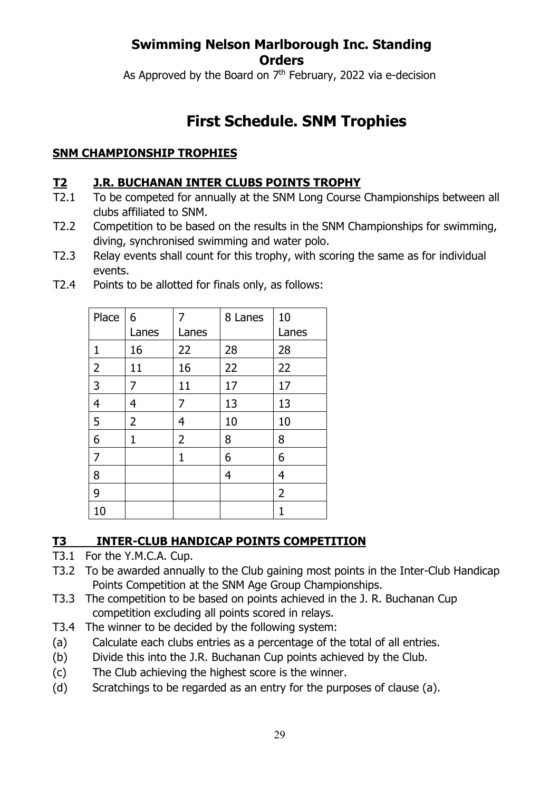As Approved by the Board on  $7<sup>th</sup>$  February, 2022 via e-decision

# **First Schedule. SNM Trophies**

### **SNM CHAMPIONSHIP TROPHIES**

#### **T2 J.R. BUCHANAN INTER CLUBS POINTS TROPHY**

- T2.1 To be competed for annually at the SNM Long Course Championships between all clubs affiliated to SNM.
- T2.2 Competition to be based on the results in the SNM Championships for swimming, diving, synchronised swimming and water polo.
- T2.3 Relay events shall count for this trophy, with scoring the same as for individual events.

| Place          | 6<br>Lanes     | 7<br>Lanes     | 8 Lanes | 10<br>Lanes    |
|----------------|----------------|----------------|---------|----------------|
| 1              | 16             | 22             | 28      | 28             |
| $\overline{2}$ | 11             | 16             | 22      | 22             |
| 3              | 7              | 11             | 17      | 17             |
| $\overline{4}$ | 4              | 7              | 13      | 13             |
| 5              | $\overline{2}$ | 4              | 10      | 10             |
| 6              | 1              | $\overline{2}$ | 8       | 8              |
| $\overline{7}$ |                | 1              | 6       | 6              |
| 8              |                |                | 4       | 4              |
| 9              |                |                |         | $\overline{2}$ |
| 10             |                |                |         | 1              |

T2.4 Points to be allotted for finals only, as follows:

## **T3 INTER-CLUB HANDICAP POINTS COMPETITION**

- T3.1 For the Y.M.C.A. Cup.
- T3.2 To be awarded annually to the Club gaining most points in the Inter-Club Handicap Points Competition at the SNM Age Group Championships.
- T3.3 The competition to be based on points achieved in the J. R. Buchanan Cup competition excluding all points scored in relays.
- T3.4 The winner to be decided by the following system:
- (a) Calculate each clubs entries as a percentage of the total of all entries.
- (b) Divide this into the J.R. Buchanan Cup points achieved by the Club.
- (c) The Club achieving the highest score is the winner.
- (d) Scratchings to be regarded as an entry for the purposes of clause (a).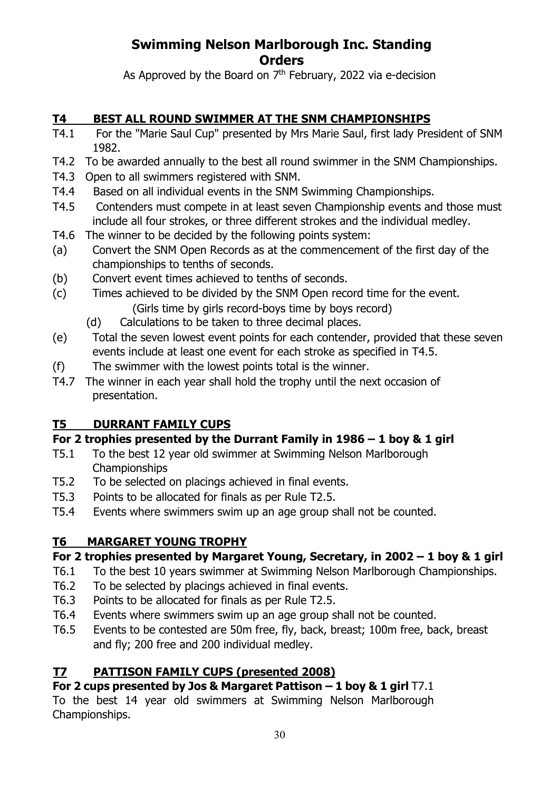As Approved by the Board on  $7<sup>th</sup>$  February, 2022 via e-decision

### **T4 BEST ALL ROUND SWIMMER AT THE SNM CHAMPIONSHIPS**

- T4.1 For the "Marie Saul Cup" presented by Mrs Marie Saul, first lady President of SNM 1982.
- T4.2 To be awarded annually to the best all round swimmer in the SNM Championships.
- T4.3 Open to all swimmers registered with SNM.
- T4.4 Based on all individual events in the SNM Swimming Championships.
- T4.5 Contenders must compete in at least seven Championship events and those must include all four strokes, or three different strokes and the individual medley.
- T4.6 The winner to be decided by the following points system:
- (a) Convert the SNM Open Records as at the commencement of the first day of the championships to tenths of seconds.
- (b) Convert event times achieved to tenths of seconds.
- (c) Times achieved to be divided by the SNM Open record time for the event. (Girls time by girls record-boys time by boys record)
	- (d) Calculations to be taken to three decimal places.
- (e) Total the seven lowest event points for each contender, provided that these seven events include at least one event for each stroke as specified in T4.5.
- (f) The swimmer with the lowest points total is the winner.
- T4.7 The winner in each year shall hold the trophy until the next occasion of presentation.

### **T5 DURRANT FAMILY CUPS**

### **For 2 trophies presented by the Durrant Family in 1986 – 1 boy & 1 girl**

- T5.1 To the best 12 year old swimmer at Swimming Nelson Marlborough Championships
- T5.2 To be selected on placings achieved in final events.
- T5.3 Points to be allocated for finals as per Rule T2.5.
- T5.4 Events where swimmers swim up an age group shall not be counted.

### **T6 MARGARET YOUNG TROPHY**

### **For 2 trophies presented by Margaret Young, Secretary, in 2002 – 1 boy & 1 girl**

- T6.1 To the best 10 years swimmer at Swimming Nelson Marlborough Championships.
- T6.2 To be selected by placings achieved in final events.
- T6.3 Points to be allocated for finals as per Rule T2.5.
- T6.4 Events where swimmers swim up an age group shall not be counted.
- T6.5 Events to be contested are 50m free, fly, back, breast; 100m free, back, breast and fly; 200 free and 200 individual medley.

### **T7 PATTISON FAMILY CUPS (presented 2008)**

### **For 2 cups presented by Jos & Margaret Pattison – 1 boy & 1 girl** T7.1

To the best 14 year old swimmers at Swimming Nelson Marlborough Championships.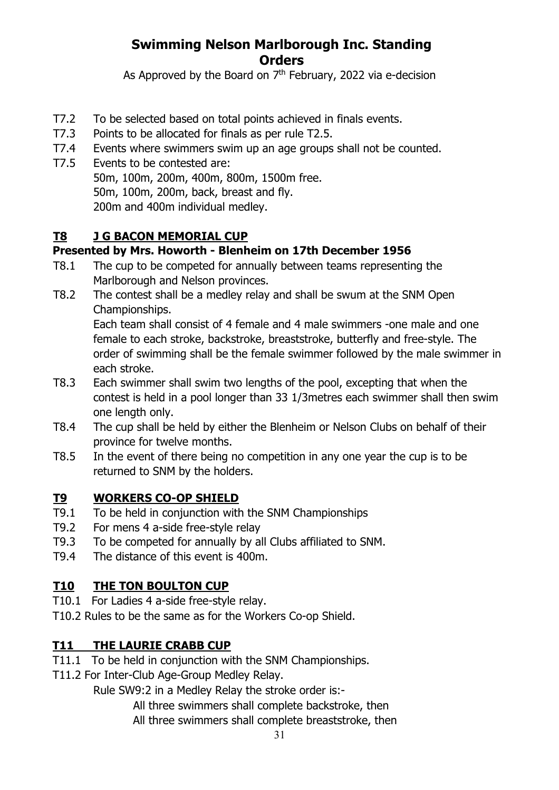As Approved by the Board on  $7<sup>th</sup>$  February, 2022 via e-decision

- T7.2 To be selected based on total points achieved in finals events.
- T7.3 Points to be allocated for finals as per rule T2.5.
- T7.4 Events where swimmers swim up an age groups shall not be counted.
- T7.5 Events to be contested are:
	- 50m, 100m, 200m, 400m, 800m, 1500m free.
	- 50m, 100m, 200m, back, breast and fly.

200m and 400m individual medley.

### **T8 J G BACON MEMORIAL CUP**

### **Presented by Mrs. Howorth - Blenheim on 17th December 1956**

- T8.1 The cup to be competed for annually between teams representing the Marlborough and Nelson provinces.
- T8.2 The contest shall be a medley relay and shall be swum at the SNM Open Championships.

Each team shall consist of 4 female and 4 male swimmers -one male and one female to each stroke, backstroke, breaststroke, butterfly and free-style. The order of swimming shall be the female swimmer followed by the male swimmer in each stroke.

- T8.3 Each swimmer shall swim two lengths of the pool, excepting that when the contest is held in a pool longer than 33 1/3metres each swimmer shall then swim one length only.
- T8.4 The cup shall be held by either the Blenheim or Nelson Clubs on behalf of their province for twelve months.
- T8.5 In the event of there being no competition in any one year the cup is to be returned to SNM by the holders.

### **T9 WORKERS CO-OP SHIELD**

- T9.1 To be held in conjunction with the SNM Championships
- T9.2 For mens 4 a-side free-style relay
- T9.3 To be competed for annually by all Clubs affiliated to SNM.
- T9.4 The distance of this event is 400m.

### **T10 THE TON BOULTON CUP**

- T10.1 For Ladies 4 a-side free-style relay.
- T10.2 Rules to be the same as for the Workers Co-op Shield.

### **T11 THE LAURIE CRABB CUP**

- T11.1 To be held in conjunction with the SNM Championships.
- T11.2 For Inter-Club Age-Group Medley Relay.

Rule SW9:2 in a Medley Relay the stroke order is:-

- All three swimmers shall complete backstroke, then
- All three swimmers shall complete breaststroke, then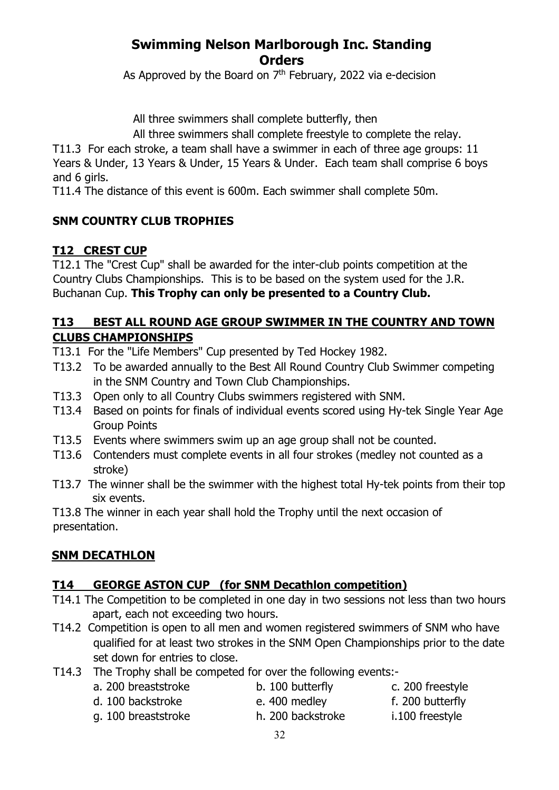As Approved by the Board on  $7<sup>th</sup>$  February, 2022 via e-decision

All three swimmers shall complete butterfly, then

All three swimmers shall complete freestyle to complete the relay.

T11.3 For each stroke, a team shall have a swimmer in each of three age groups: 11 Years & Under, 13 Years & Under, 15 Years & Under. Each team shall comprise 6 boys and 6 girls.

T11.4 The distance of this event is 600m. Each swimmer shall complete 50m.

#### **SNM COUNTRY CLUB TROPHIES**

### **T12 CREST CUP**

T12.1 The "Crest Cup" shall be awarded for the inter-club points competition at the Country Clubs Championships. This is to be based on the system used for the J.R. Buchanan Cup. **This Trophy can only be presented to a Country Club.** 

#### **T13 BEST ALL ROUND AGE GROUP SWIMMER IN THE COUNTRY AND TOWN CLUBS CHAMPIONSHIPS**

- T13.1 For the "Life Members" Cup presented by Ted Hockey 1982.
- T13.2 To be awarded annually to the Best All Round Country Club Swimmer competing in the SNM Country and Town Club Championships.
- T13.3 Open only to all Country Clubs swimmers registered with SNM.
- T13.4 Based on points for finals of individual events scored using Hy-tek Single Year Age Group Points
- T13.5 Events where swimmers swim up an age group shall not be counted.
- T13.6 Contenders must complete events in all four strokes (medley not counted as a stroke)
- T13.7 The winner shall be the swimmer with the highest total Hy-tek points from their top six events.

T13.8 The winner in each year shall hold the Trophy until the next occasion of presentation.

### **SNM DECATHLON**

#### **T14 GEORGE ASTON CUP (for SNM Decathlon competition)**

- T14.1 The Competition to be completed in one day in two sessions not less than two hours apart, each not exceeding two hours.
- T14.2 Competition is open to all men and women registered swimmers of SNM who have qualified for at least two strokes in the SNM Open Championships prior to the date set down for entries to close.

32

- T14.3 The Trophy shall be competed for over the following events:
	- a. 200 breaststroke b. 100 butterfly c. 200 freestyle
	- d. 100 backstroke e. 400 medley f. 200 butterfly

- 
- g. 100 breaststroke h. 200 backstroke i.100 freestyle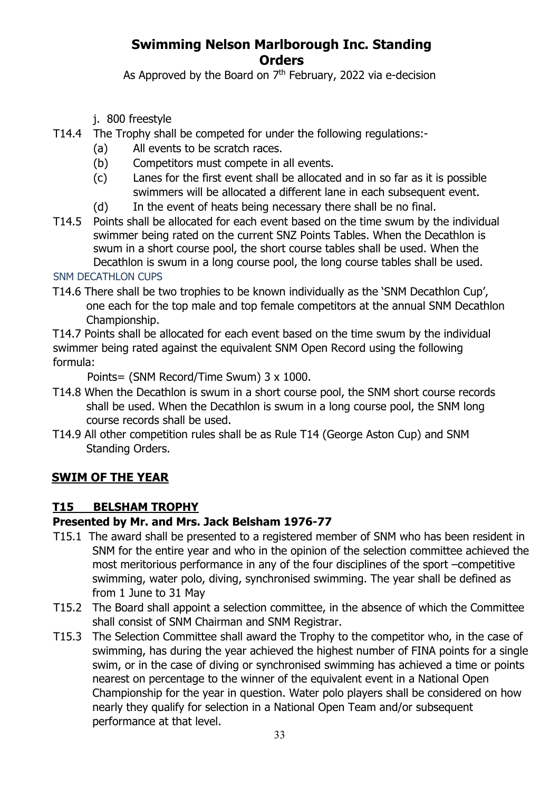As Approved by the Board on  $7<sup>th</sup>$  February, 2022 via e-decision

- j. 800 freestyle
- T14.4 The Trophy shall be competed for under the following regulations:-
	- (a) All events to be scratch races.
	- (b) Competitors must compete in all events.
	- (c) Lanes for the first event shall be allocated and in so far as it is possible swimmers will be allocated a different lane in each subsequent event.
	- (d) In the event of heats being necessary there shall be no final.
- T14.5 Points shall be allocated for each event based on the time swum by the individual swimmer being rated on the current SNZ Points Tables. When the Decathlon is swum in a short course pool, the short course tables shall be used. When the Decathlon is swum in a long course pool, the long course tables shall be used.

#### SNM DECATHLON CUPS

T14.6 There shall be two trophies to be known individually as the 'SNM Decathlon Cup', one each for the top male and top female competitors at the annual SNM Decathlon Championship.

T14.7 Points shall be allocated for each event based on the time swum by the individual swimmer being rated against the equivalent SNM Open Record using the following formula:

Points= (SNM Record/Time Swum) 3 x 1000.

- T14.8 When the Decathlon is swum in a short course pool, the SNM short course records shall be used. When the Decathlon is swum in a long course pool, the SNM long course records shall be used.
- T14.9 All other competition rules shall be as Rule T14 (George Aston Cup) and SNM Standing Orders.

### **SWIM OF THE YEAR**

#### **T15 BELSHAM TROPHY**

#### **Presented by Mr. and Mrs. Jack Belsham 1976-77**

- T15.1 The award shall be presented to a registered member of SNM who has been resident in SNM for the entire year and who in the opinion of the selection committee achieved the most meritorious performance in any of the four disciplines of the sport –competitive swimming, water polo, diving, synchronised swimming. The year shall be defined as from 1 June to 31 May
- T15.2 The Board shall appoint a selection committee, in the absence of which the Committee shall consist of SNM Chairman and SNM Registrar.
- T15.3 The Selection Committee shall award the Trophy to the competitor who, in the case of swimming, has during the year achieved the highest number of FINA points for a single swim, or in the case of diving or synchronised swimming has achieved a time or points nearest on percentage to the winner of the equivalent event in a National Open Championship for the year in question. Water polo players shall be considered on how nearly they qualify for selection in a National Open Team and/or subsequent performance at that level.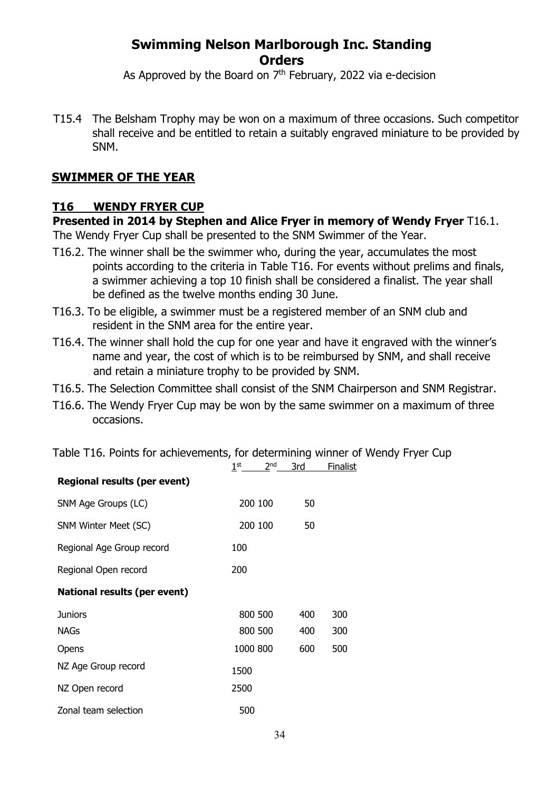As Approved by the Board on  $7<sup>th</sup>$  February, 2022 via e-decision

T15.4 The Belsham Trophy may be won on a maximum of three occasions. Such competitor shall receive and be entitled to retain a suitably engraved miniature to be provided by SNM.

#### **SWIMMER OF THE YEAR**

#### **T16 WENDY FRYER CUP**

#### **Presented in 2014 by Stephen and Alice Fryer in memory of Wendy Fryer** T16.1.

The Wendy Fryer Cup shall be presented to the SNM Swimmer of the Year.

- T16.2. The winner shall be the swimmer who, during the year, accumulates the most points according to the criteria in Table T16. For events without prelims and finals, a swimmer achieving a top 10 finish shall be considered a finalist. The year shall be defined as the twelve months ending 30 June.
- T16.3. To be eligible, a swimmer must be a registered member of an SNM club and resident in the SNM area for the entire year.
- T16.4. The winner shall hold the cup for one year and have it engraved with the winner's name and year, the cost of which is to be reimbursed by SNM, and shall receive and retain a miniature trophy to be provided by SNM.
- T16.5. The Selection Committee shall consist of the SNM Chairperson and SNM Registrar.
- T16.6. The Wendy Fryer Cup may be won by the same swimmer on a maximum of three occasions.

|                                     | $1^{\rm st}$ | 2 <sub>nd</sub> | 3rd | <b>Finalist</b> |
|-------------------------------------|--------------|-----------------|-----|-----------------|
| <b>Regional results (per event)</b> |              |                 |     |                 |
| SNM Age Groups (LC)                 | 200 100      |                 | 50  |                 |
| SNM Winter Meet (SC)                | 200 100      |                 | 50  |                 |
| Regional Age Group record           | 100          |                 |     |                 |
| Regional Open record                | 200          |                 |     |                 |
| <b>National results (per event)</b> |              |                 |     |                 |
| <b>Juniors</b>                      | 800 500      |                 | 400 | 300             |
| NAGs                                | 800 500      |                 | 400 | 300             |
| Opens                               | 1000 800     |                 | 600 | 500             |
| NZ Age Group record                 | 1500         |                 |     |                 |
| NZ Open record                      | 2500         |                 |     |                 |
| Zonal team selection                | 500          |                 |     |                 |

Table T16. Points for achievements, for determining winner of Wendy Fryer Cup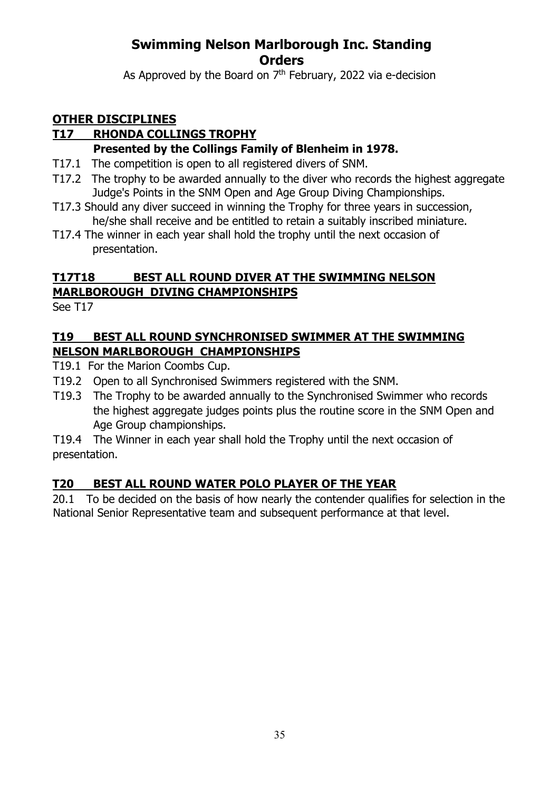As Approved by the Board on  $7<sup>th</sup>$  February, 2022 via e-decision

### **OTHER DISCIPLINES**

### **T17 RHONDA COLLINGS TROPHY**

#### **Presented by the Collings Family of Blenheim in 1978.**

- T17.1 The competition is open to all registered divers of SNM.
- T17.2 The trophy to be awarded annually to the diver who records the highest aggregate Judge's Points in the SNM Open and Age Group Diving Championships.
- T17.3 Should any diver succeed in winning the Trophy for three years in succession, he/she shall receive and be entitled to retain a suitably inscribed miniature.
- T17.4 The winner in each year shall hold the trophy until the next occasion of presentation.

### **T17T18 BEST ALL ROUND DIVER AT THE SWIMMING NELSON MARLBOROUGH DIVING CHAMPIONSHIPS**

See T17

#### **T19 BEST ALL ROUND SYNCHRONISED SWIMMER AT THE SWIMMING NELSON MARLBOROUGH CHAMPIONSHIPS**

- T19.1 For the Marion Coombs Cup.
- T19.2 Open to all Synchronised Swimmers registered with the SNM.
- T19.3 The Trophy to be awarded annually to the Synchronised Swimmer who records the highest aggregate judges points plus the routine score in the SNM Open and Age Group championships.

T19.4 The Winner in each year shall hold the Trophy until the next occasion of presentation.

### **T20 BEST ALL ROUND WATER POLO PLAYER OF THE YEAR**

20.1 To be decided on the basis of how nearly the contender qualifies for selection in the National Senior Representative team and subsequent performance at that level.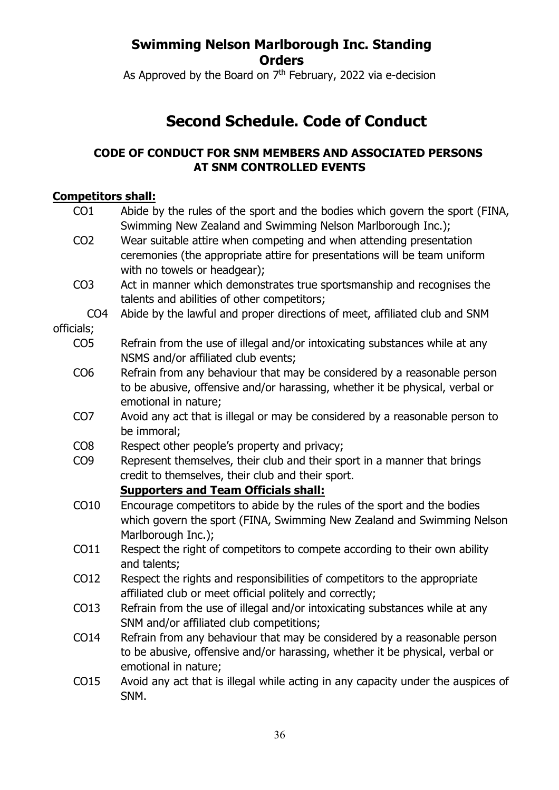As Approved by the Board on  $7<sup>th</sup>$  February, 2022 via e-decision

# **Second Schedule. Code of Conduct**

### **CODE OF CONDUCT FOR SNM MEMBERS AND ASSOCIATED PERSONS AT SNM CONTROLLED EVENTS**

#### **Competitors shall:**

| CO <sub>1</sub> | Abide by the rules of the sport and the bodies which govern the sport (FINA,     |
|-----------------|----------------------------------------------------------------------------------|
|                 | Swimming New Zealand and Swimming Nelson Marlborough Inc.);                      |
| CO <sub>2</sub> | Wear suitable attire when competing and when attending presentation              |
|                 | ceremonies (the appropriate attire for presentations will be team uniform        |
|                 | with no towels or headgear);                                                     |
| CO <sub>3</sub> | Act in manner which demonstrates true sportsmanship and recognises the           |
|                 | talents and abilities of other competitors;                                      |
| CO <sub>4</sub> | Abide by the lawful and proper directions of meet, affiliated club and SNM       |
| officials;      |                                                                                  |
| CO <sub>5</sub> | Refrain from the use of illegal and/or intoxicating substances while at any      |
|                 | NSMS and/or affiliated club events;                                              |
| CO <sub>6</sub> | Refrain from any behaviour that may be considered by a reasonable person         |
|                 | to be abusive, offensive and/or harassing, whether it be physical, verbal or     |
|                 | emotional in nature;                                                             |
| CO <sub>7</sub> | Avoid any act that is illegal or may be considered by a reasonable person to     |
|                 | be immoral;                                                                      |
| CO <sub>8</sub> | Respect other people's property and privacy;                                     |
| CO <sub>9</sub> | Represent themselves, their club and their sport in a manner that brings         |
|                 | credit to themselves, their club and their sport.                                |
|                 | <b>Supporters and Team Officials shall:</b>                                      |
| CO10            | Encourage competitors to abide by the rules of the sport and the bodies          |
|                 | which govern the sport (FINA, Swimming New Zealand and Swimming Nelson           |
|                 | Marlborough Inc.);                                                               |
| CO11            | Respect the right of competitors to compete according to their own ability       |
|                 | and talents;                                                                     |
| CO12            | Respect the rights and responsibilities of competitors to the appropriate        |
|                 | affiliated club or meet official politely and correctly;                         |
| CO13            | Refrain from the use of illegal and/or intoxicating substances while at any      |
|                 | SNM and/or affiliated club competitions;                                         |
| CO14            | Refrain from any behaviour that may be considered by a reasonable person         |
|                 | to be abusive, offensive and/or harassing, whether it be physical, verbal or     |
|                 | emotional in nature;                                                             |
| CO15            | Avoid any act that is illegal while acting in any capacity under the auspices of |
|                 | SNM.                                                                             |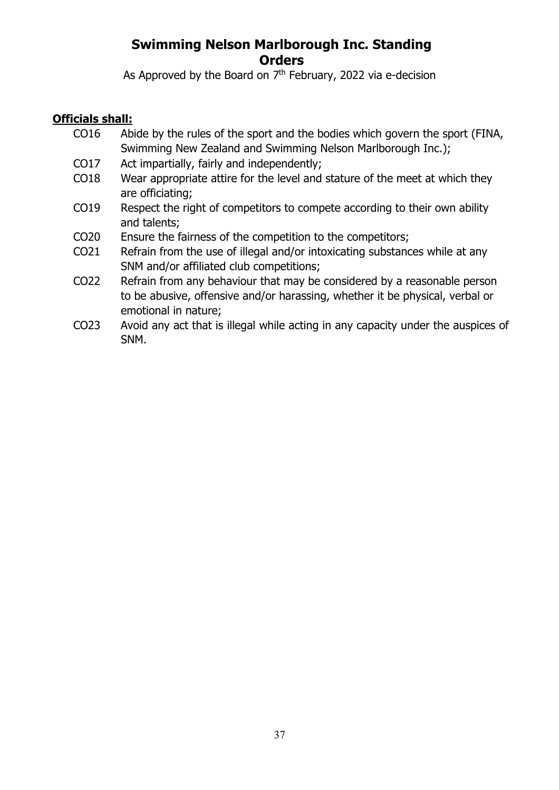As Approved by the Board on  $7<sup>th</sup>$  February, 2022 via e-decision

#### **Officials shall:**

- CO16 Abide by the rules of the sport and the bodies which govern the sport (FINA, Swimming New Zealand and Swimming Nelson Marlborough Inc.);
- CO17 Act impartially, fairly and independently;
- CO18 Wear appropriate attire for the level and stature of the meet at which they are officiating;
- CO19 Respect the right of competitors to compete according to their own ability and talents;
- CO20 Ensure the fairness of the competition to the competitors;
- CO21 Refrain from the use of illegal and/or intoxicating substances while at any SNM and/or affiliated club competitions;
- CO22 Refrain from any behaviour that may be considered by a reasonable person to be abusive, offensive and/or harassing, whether it be physical, verbal or emotional in nature;
- CO23 Avoid any act that is illegal while acting in any capacity under the auspices of SNM.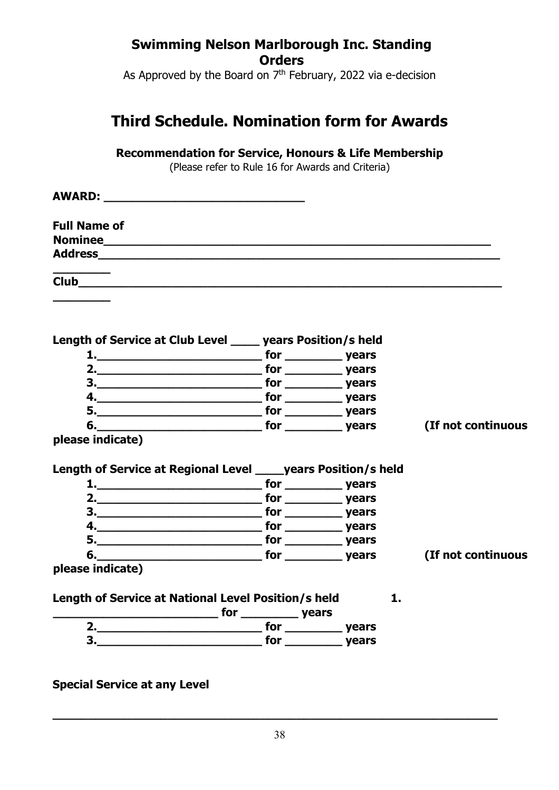As Approved by the Board on  $7<sup>th</sup>$  February, 2022 via e-decision

# **Third Schedule. Nomination form for Awards**

**Recommendation for Service, Honours & Life Membership** 

(Please refer to Rule 16 for Awards and Criteria)

| <b>AWARD:</b> A MARINE AND A MARINE AND A MARINE AND A MARINE AND A MARINE AND A MARINE AND A MARINE AND A MARINE AND A MA                                                                                                     |    |                    |
|--------------------------------------------------------------------------------------------------------------------------------------------------------------------------------------------------------------------------------|----|--------------------|
| <b>Full Name of</b>                                                                                                                                                                                                            |    |                    |
|                                                                                                                                                                                                                                |    |                    |
| <b>Address Address</b>                                                                                                                                                                                                         |    |                    |
| <b>Club Club Club Club Club</b>                                                                                                                                                                                                |    |                    |
|                                                                                                                                                                                                                                |    |                    |
| Length of Service at Club Level _____ years Position/s held                                                                                                                                                                    |    |                    |
|                                                                                                                                                                                                                                |    |                    |
|                                                                                                                                                                                                                                |    |                    |
|                                                                                                                                                                                                                                |    |                    |
|                                                                                                                                                                                                                                |    |                    |
|                                                                                                                                                                                                                                |    |                    |
| 6. vears of the set of the set of the set of the set of the set of the set of the set of the set of the set of the set of the set of the set of the set of the set of the set of the set of the set of the set of the set of t |    | (If not continuous |
| please indicate)                                                                                                                                                                                                               |    |                    |
|                                                                                                                                                                                                                                |    |                    |
| Length of Service at Regional Level _____ years Position/s held                                                                                                                                                                |    |                    |
| 1. Vears                                                                                                                                                                                                                       |    |                    |
| 2. Note a property of the set of the set of the set of the set of the set of the set of the set of the set of the set of the set of the set of the set of the set of the set of the set of the set of the set of the set of th |    |                    |
|                                                                                                                                                                                                                                |    |                    |
|                                                                                                                                                                                                                                |    |                    |
|                                                                                                                                                                                                                                |    |                    |
|                                                                                                                                                                                                                                |    | (If not continuous |
| please indicate)                                                                                                                                                                                                               |    |                    |
|                                                                                                                                                                                                                                |    |                    |
| Length of Service at National Level Position/s held                                                                                                                                                                            | 1. |                    |
|                                                                                                                                                                                                                                |    |                    |
|                                                                                                                                                                                                                                |    |                    |
| 3. Note a set of the set of the set of the set of the set of the set of the set of the set of the set of the s                                                                                                                 |    |                    |
|                                                                                                                                                                                                                                |    |                    |
|                                                                                                                                                                                                                                |    |                    |

**Special Service at any Level** 

**\_\_\_\_\_\_\_\_\_\_\_\_\_\_\_\_\_\_\_\_\_\_\_\_\_\_\_\_\_\_\_\_\_\_\_\_\_\_\_\_\_\_\_\_\_\_\_\_\_\_\_\_\_\_\_\_\_\_\_\_\_\_**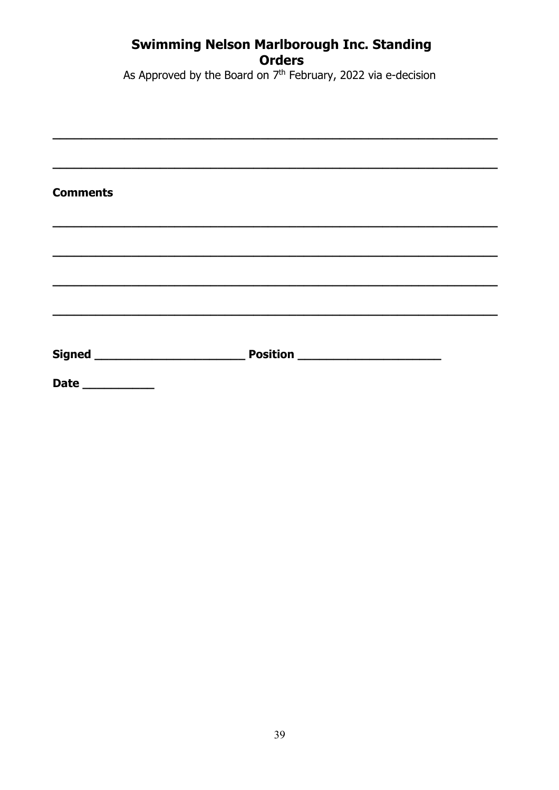As Approved by the Board on  $7<sup>th</sup>$  February, 2022 via e-decision

| <b>Comments</b> |  |
|-----------------|--|
|                 |  |
|                 |  |
|                 |  |
|                 |  |
| Date __________ |  |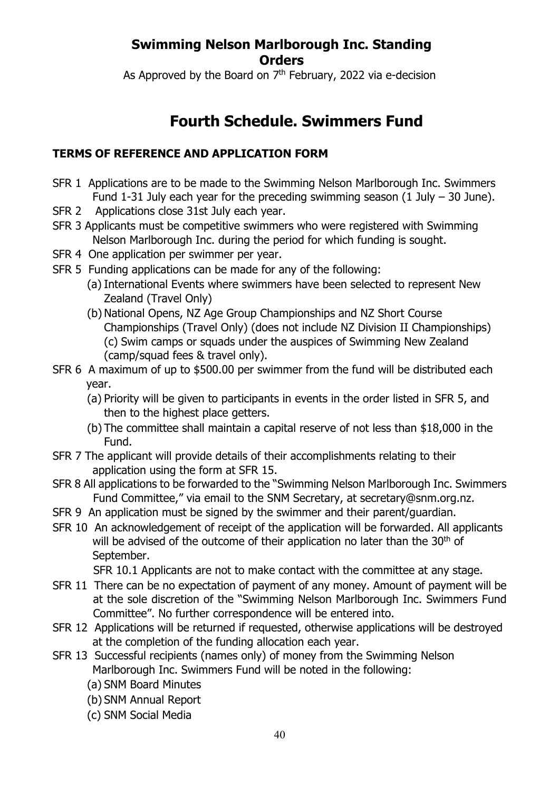As Approved by the Board on  $7<sup>th</sup>$  February, 2022 via e-decision

## **Fourth Schedule. Swimmers Fund**

#### **TERMS OF REFERENCE AND APPLICATION FORM**

- SFR 1 Applications are to be made to the Swimming Nelson Marlborough Inc. Swimmers Fund 1-31 July each year for the preceding swimming season  $(1 \text{ July} - 30 \text{ June})$ .
- SFR 2 Applications close 31st July each year.
- SFR 3 Applicants must be competitive swimmers who were registered with Swimming Nelson Marlborough Inc. during the period for which funding is sought.
- SFR 4 One application per swimmer per year.
- SFR 5 Funding applications can be made for any of the following:
	- (a) International Events where swimmers have been selected to represent New Zealand (Travel Only)
	- (b) National Opens, NZ Age Group Championships and NZ Short Course Championships (Travel Only) (does not include NZ Division II Championships) (c) Swim camps or squads under the auspices of Swimming New Zealand (camp/squad fees & travel only).
- SFR 6 A maximum of up to \$500.00 per swimmer from the fund will be distributed each year.
	- (a) Priority will be given to participants in events in the order listed in SFR 5, and then to the highest place getters.
	- (b) The committee shall maintain a capital reserve of not less than \$18,000 in the Fund.
- SFR 7 The applicant will provide details of their accomplishments relating to their application using the form at SFR 15.
- SFR 8 All applications to be forwarded to the "Swimming Nelson Marlborough Inc. Swimmers Fund Committee," via email to the SNM Secretary, at secretary@snm.org.nz.
- SFR 9 An application must be signed by the swimmer and their parent/guardian.
- SFR 10 An acknowledgement of receipt of the application will be forwarded. All applicants will be advised of the outcome of their application no later than the 30<sup>th</sup> of September.

SFR 10.1 Applicants are not to make contact with the committee at any stage.

- SFR 11 There can be no expectation of payment of any money. Amount of payment will be at the sole discretion of the "Swimming Nelson Marlborough Inc. Swimmers Fund Committee". No further correspondence will be entered into.
- SFR 12 Applications will be returned if requested, otherwise applications will be destroyed at the completion of the funding allocation each year.
- SFR 13 Successful recipients (names only) of money from the Swimming Nelson Marlborough Inc. Swimmers Fund will be noted in the following:
	- (a) SNM Board Minutes
	- (b) SNM Annual Report
	- (c) SNM Social Media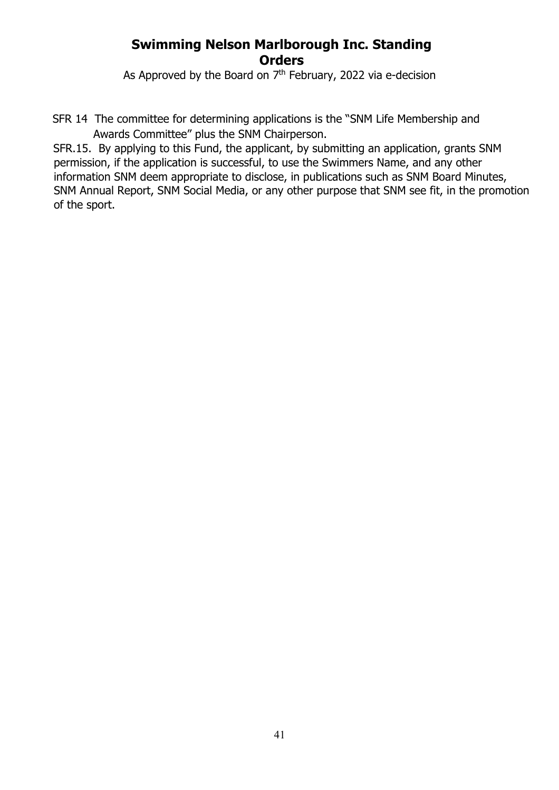As Approved by the Board on  $7<sup>th</sup>$  February, 2022 via e-decision

SFR 14 The committee for determining applications is the "SNM Life Membership and Awards Committee" plus the SNM Chairperson.

SFR.15. By applying to this Fund, the applicant, by submitting an application, grants SNM permission, if the application is successful, to use the Swimmers Name, and any other information SNM deem appropriate to disclose, in publications such as SNM Board Minutes, SNM Annual Report, SNM Social Media, or any other purpose that SNM see fit, in the promotion of the sport.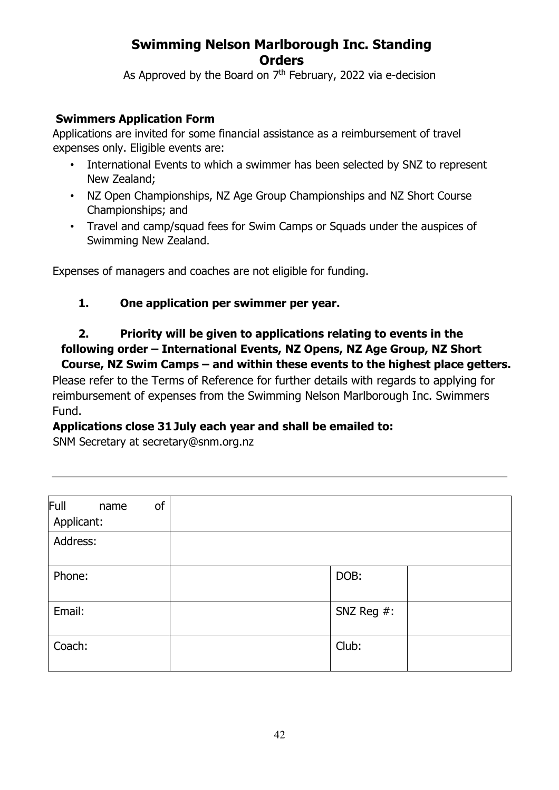As Approved by the Board on  $7<sup>th</sup>$  February, 2022 via e-decision

#### **Swimmers Application Form**

Applications are invited for some financial assistance as a reimbursement of travel expenses only. Eligible events are:

- International Events to which a swimmer has been selected by SNZ to represent New Zealand;
- NZ Open Championships, NZ Age Group Championships and NZ Short Course Championships; and
- Travel and camp/squad fees for Swim Camps or Squads under the auspices of Swimming New Zealand.

Expenses of managers and coaches are not eligible for funding.

#### **1. One application per swimmer per year.**

#### **2. Priority will be given to applications relating to events in the following order – International Events, NZ Opens, NZ Age Group, NZ Short Course, NZ Swim Camps – and within these events to the highest place getters.**

Please refer to the Terms of Reference for further details with regards to applying for reimbursement of expenses from the Swimming Nelson Marlborough Inc. Swimmers Fund.

#### **Applications close 31July each year and shall be emailed to:**

SNM Secretary at secretary@snm.org.nz

| Full<br>of<br>name<br>Applicant: |               |  |
|----------------------------------|---------------|--|
| Address:                         |               |  |
| Phone:                           | DOB:          |  |
| Email:                           | SNZ Reg $#$ : |  |
| Coach:                           | Club:         |  |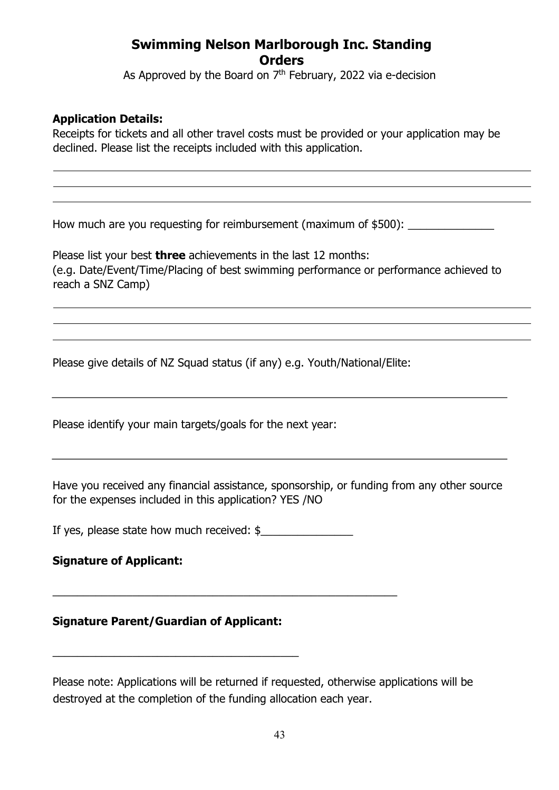As Approved by the Board on  $7<sup>th</sup>$  February, 2022 via e-decision

#### **Application Details:**

Receipts for tickets and all other travel costs must be provided or your application may be declined. Please list the receipts included with this application.

How much are you requesting for reimbursement (maximum of \$500):

Please list your best **three** achievements in the last 12 months: (e.g. Date/Event/Time/Placing of best swimming performance or performance achieved to reach a SNZ Camp)

Please give details of NZ Squad status (if any) e.g. Youth/National/Elite:

Please identify your main targets/goals for the next year:

Have you received any financial assistance, sponsorship, or funding from any other source for the expenses included in this application? YES /NO

If yes, please state how much received: \$

\_\_\_\_\_\_\_\_\_\_\_\_\_\_\_\_\_\_\_\_\_\_\_\_\_\_\_\_\_\_\_\_\_\_\_\_\_\_\_\_\_\_\_\_\_\_\_\_\_\_\_\_\_\_\_\_

#### **Signature of Applicant:**

#### **Signature Parent/Guardian of Applicant:**

\_\_\_\_\_\_\_\_\_\_\_\_\_\_\_\_\_\_\_\_\_\_\_\_\_\_\_\_\_\_\_\_\_\_\_\_\_\_\_\_

Please note: Applications will be returned if requested, otherwise applications will be destroyed at the completion of the funding allocation each year.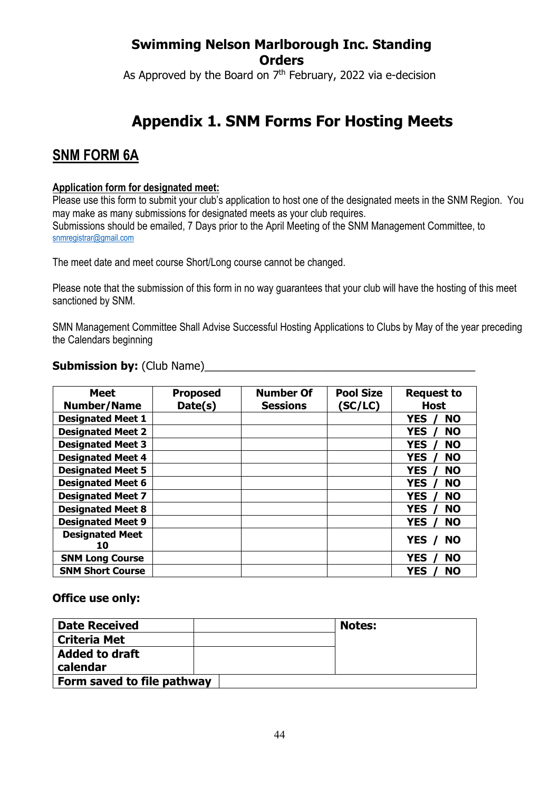As Approved by the Board on  $7<sup>th</sup>$  February, 2022 via e-decision

# **Appendix 1. SNM Forms For Hosting Meets**

## **SNM FORM 6A**

#### **Application form for designated meet:**

Please use this form to submit your club's application to host one of the designated meets in the SNM Region. You may make as many submissions for designated meets as your club requires. Submissions should be emailed, 7 Days prior to the April Meeting of the SNM Management Committee, to snmregistrar@gmail.com

The meet date and meet course Short/Long course cannot be changed.

Please note that the submission of this form in no way guarantees that your club will have the hosting of this meet sanctioned by SNM.

SMN Management Committee Shall Advise Successful Hosting Applications to Clubs by May of the year preceding the Calendars beginning

#### **Submission by:** (Club Name)

| <b>Meet</b>                  | <b>Proposed</b> | <b>Number Of</b> | <b>Pool Size</b> | <b>Request to</b>       |
|------------------------------|-----------------|------------------|------------------|-------------------------|
| <b>Number/Name</b>           | Date(s)         | <b>Sessions</b>  | (SC/LC)          | <b>Host</b>             |
| <b>Designated Meet 1</b>     |                 |                  |                  | <b>NO</b><br><b>YES</b> |
| <b>Designated Meet 2</b>     |                 |                  |                  | <b>NO</b><br><b>YES</b> |
| <b>Designated Meet 3</b>     |                 |                  |                  | <b>NO</b><br><b>YES</b> |
| <b>Designated Meet 4</b>     |                 |                  |                  | <b>YES</b><br><b>NO</b> |
| <b>Designated Meet 5</b>     |                 |                  |                  | <b>YES</b><br><b>NO</b> |
| <b>Designated Meet 6</b>     |                 |                  |                  | <b>NO</b><br><b>YES</b> |
| <b>Designated Meet 7</b>     |                 |                  |                  | <b>YES</b><br><b>NO</b> |
| <b>Designated Meet 8</b>     |                 |                  |                  | <b>YES</b><br><b>NO</b> |
| <b>Designated Meet 9</b>     |                 |                  |                  | <b>YES</b><br><b>NO</b> |
| <b>Designated Meet</b><br>10 |                 |                  |                  | <b>YES</b><br><b>NO</b> |
| <b>SNM Long Course</b>       |                 |                  |                  | <b>YES</b><br><b>NO</b> |
| <b>SNM Short Course</b>      |                 |                  |                  | <b>NO</b><br><b>YES</b> |

#### **Office use only:**

| <b>Date Received</b>       |  | <b>Notes:</b> |
|----------------------------|--|---------------|
| <b>Criteria Met</b>        |  |               |
| <b>Added to draft</b>      |  |               |
| calendar                   |  |               |
| Form saved to file pathway |  |               |